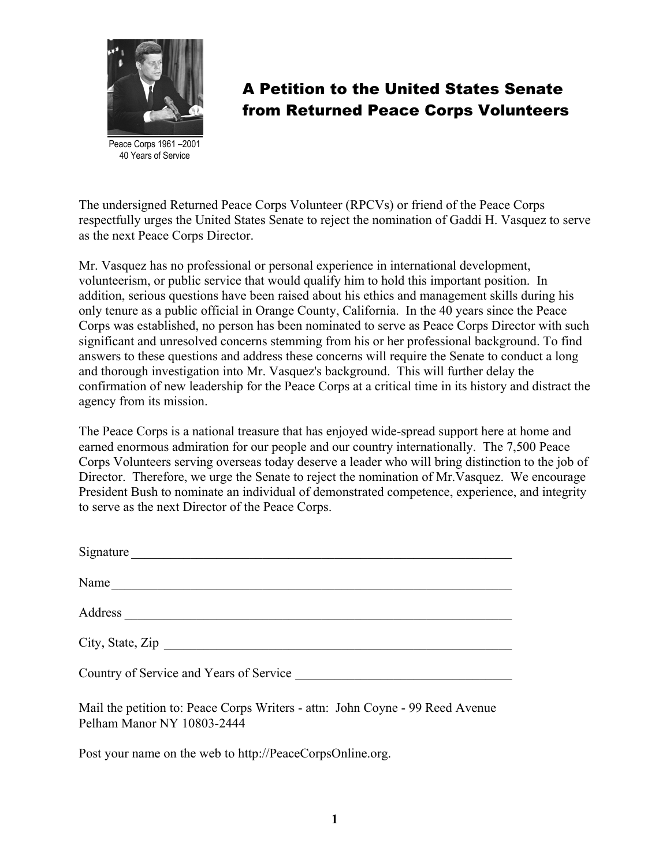

Peace Corps 1961 –2001 40 Years of Service

The undersigned Returned Peace Corps Volunteer (RPCVs) or friend of the Peace Corps respectfully urges the United States Senate to reject the nomination of Gaddi H. Vasquez to serve as the next Peace Corps Director.

Mr. Vasquez has no professional or personal experience in international development, volunteerism, or public service that would qualify him to hold this important position. In addition, serious questions have been raised about his ethics and management skills during his only tenure as a public official in Orange County, California. In the 40 years since the Peace Corps was established, no person has been nominated to serve as Peace Corps Director with such significant and unresolved concerns stemming from his or her professional background. To find answers to these questions and address these concerns will require the Senate to conduct a long and thorough investigation into Mr. Vasquez's background. This will further delay the confirmation of new leadership for the Peace Corps at a critical time in its history and distract the agency from its mission.

The Peace Corps is a national treasure that has enjoyed wide-spread support here at home and earned enormous admiration for our people and our country internationally. The 7,500 Peace Corps Volunteers serving overseas today deserve a leader who will bring distinction to the job of Director. Therefore, we urge the Senate to reject the nomination of Mr.Vasquez. We encourage President Bush to nominate an individual of demonstrated competence, experience, and integrity to serve as the next Director of the Peace Corps.

| Signature        |
|------------------|
| Name             |
| Address          |
| City, State, Zip |
|                  |

Mail the petition to: Peace Corps Writers - attn: John Coyne - 99 Reed Avenue Pelham Manor NY 10803-2444

Post your name on the web to http://PeaceCorpsOnline.org.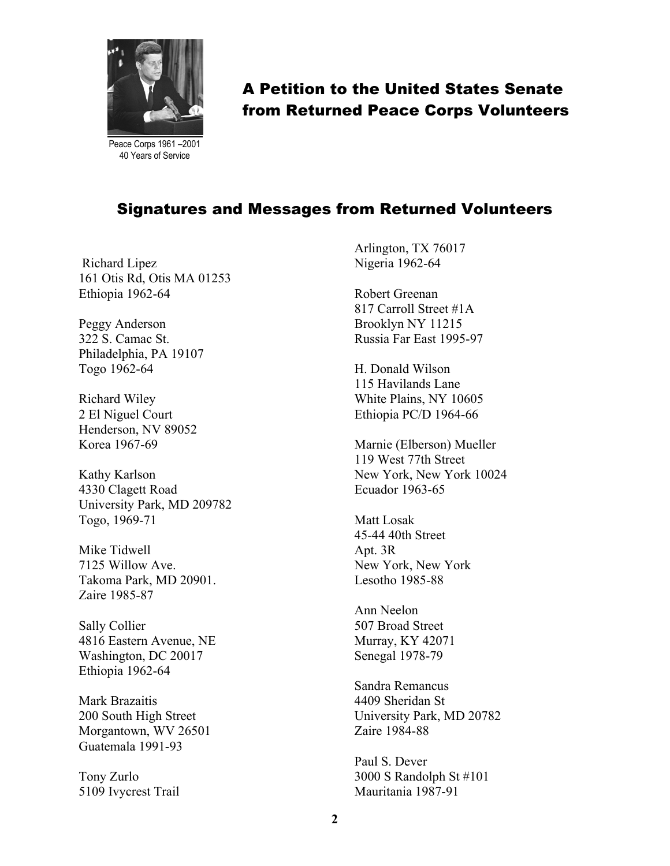

Peace Corps 1961 –2001 40 Years of Service

# A Petition to the United States Senate from Returned Peace Corps Volunteers

#### Signatures and Messages from Returned Volunteers

 Richard Lipez 161 Otis Rd, Otis MA 01253 Ethiopia 1962-64

Peggy Anderson 322 S. Camac St. Philadelphia, PA 19107 Togo 1962-64

Richard Wiley 2 El Niguel Court Henderson, NV 89052 Korea 1967-69

Kathy Karlson 4330 Clagett Road University Park, MD 209782 Togo, 1969-71

Mike Tidwell 7125 Willow Ave. Takoma Park, MD 20901. Zaire 1985-87

Sally Collier 4816 Eastern Avenue, NE Washington, DC 20017 Ethiopia 1962-64

Mark Brazaitis 200 South High Street Morgantown, WV 26501 Guatemala 1991-93

Tony Zurlo 5109 Ivycrest Trail Arlington, TX 76017 Nigeria 1962-64

Robert Greenan 817 Carroll Street #1A Brooklyn NY 11215 Russia Far East 1995-97

H. Donald Wilson 115 Havilands Lane White Plains, NY 10605 Ethiopia PC/D 1964-66

Marnie (Elberson) Mueller 119 West 77th Street New York, New York 10024 Ecuador 1963-65

Matt Losak 45-44 40th Street Apt. 3R New York, New York Lesotho 1985-88

Ann Neelon 507 Broad Street Murray, KY 42071 Senegal 1978-79

Sandra Remancus 4409 Sheridan St University Park, MD 20782 Zaire 1984-88

Paul S. Dever 3000 S Randolph St #101 Mauritania 1987-91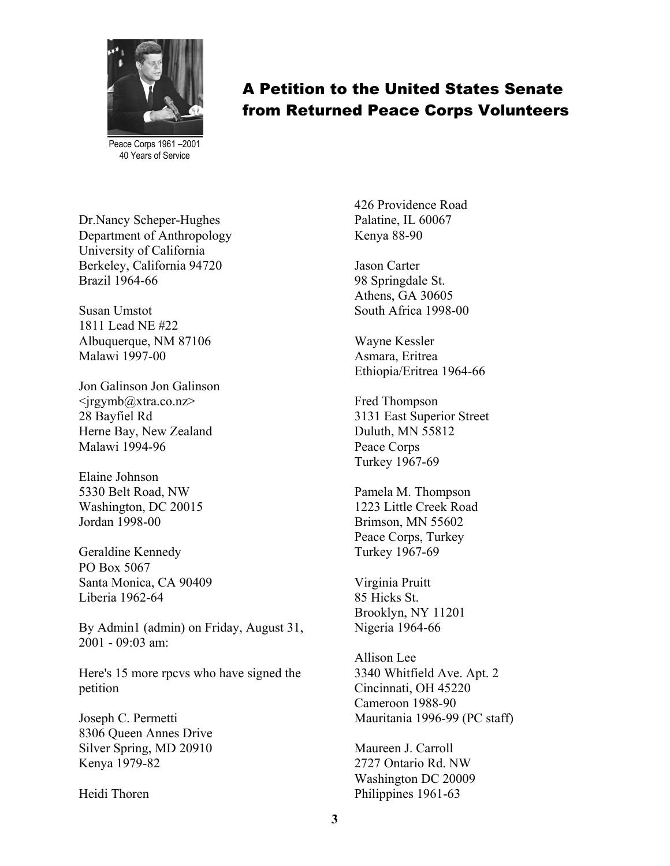

Peace Corps 1961 –2001 40 Years of Service

Dr.Nancy Scheper-Hughes Department of Anthropology University of California Berkeley, California 94720 Brazil 1964-66

Susan Umstot 1811 Lead NE #22 Albuquerque, NM 87106 Malawi 1997-00

Jon Galinson Jon Galinson  $\langle \text{irgymb}\right|$ @xtra.co.nz> 28 Bayfiel Rd Herne Bay, New Zealand Malawi 1994-96

Elaine Johnson 5330 Belt Road, NW Washington, DC 20015 Jordan 1998-00

Geraldine Kennedy PO Box 5067 Santa Monica, CA 90409 Liberia 1962-64

By Admin1 (admin) on Friday, August 31, 2001 - 09:03 am:

Here's 15 more rpcvs who have signed the petition

Joseph C. Permetti 8306 Queen Annes Drive Silver Spring, MD 20910 Kenya 1979-82

Heidi Thoren

426 Providence Road Palatine, IL 60067 Kenya 88-90

Jason Carter 98 Springdale St. Athens, GA 30605 South Africa 1998-00

Wayne Kessler Asmara, Eritrea Ethiopia/Eritrea 1964-66

Fred Thompson 3131 East Superior Street Duluth, MN 55812 Peace Corps Turkey 1967-69

Pamela M. Thompson 1223 Little Creek Road Brimson, MN 55602 Peace Corps, Turkey Turkey 1967-69

Virginia Pruitt 85 Hicks St. Brooklyn, NY 11201 Nigeria 1964-66

Allison Lee 3340 Whitfield Ave. Apt. 2 Cincinnati, OH 45220 Cameroon 1988-90 Mauritania 1996-99 (PC staff)

Maureen J. Carroll 2727 Ontario Rd. NW Washington DC 20009 Philippines 1961-63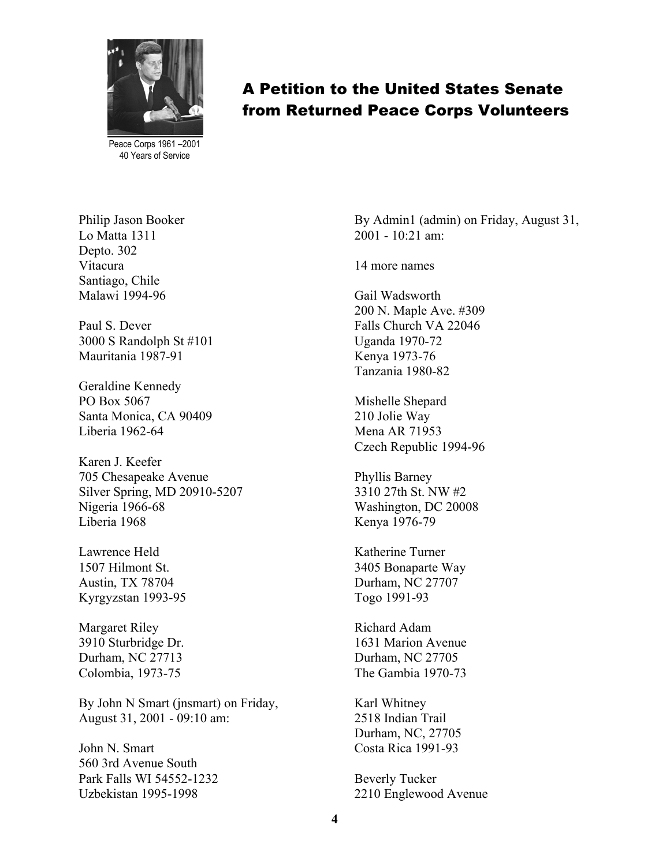

Peace Corps 1961 –2001 40 Years of Service

Philip Jason Booker Lo Matta 1311 Depto. 302 Vitacura Santiago, Chile Malawi 1994-96

Paul S. Dever 3000 S Randolph St #101 Mauritania 1987-91

Geraldine Kennedy PO Box 5067 Santa Monica, CA 90409 Liberia 1962-64

Karen J. Keefer 705 Chesapeake Avenue Silver Spring, MD 20910-5207 Nigeria 1966-68 Liberia 1968

Lawrence Held 1507 Hilmont St. Austin, TX 78704 Kyrgyzstan 1993-95

Margaret Riley 3910 Sturbridge Dr. Durham, NC 27713 Colombia, 1973-75

By John N Smart (jnsmart) on Friday, August 31, 2001 - 09:10 am:

John N. Smart 560 3rd Avenue South Park Falls WI 54552-1232 Uzbekistan 1995-1998

By Admin1 (admin) on Friday, August 31, 2001 - 10:21 am:

14 more names

Gail Wadsworth 200 N. Maple Ave. #309 Falls Church VA 22046 Uganda 1970-72 Kenya 1973-76 Tanzania 1980-82

Mishelle Shepard 210 Jolie Way Mena AR 71953 Czech Republic 1994-96

Phyllis Barney 3310 27th St. NW #2 Washington, DC 20008 Kenya 1976-79

Katherine Turner 3405 Bonaparte Way Durham, NC 27707 Togo 1991-93

Richard Adam 1631 Marion Avenue Durham, NC 27705 The Gambia 1970-73

Karl Whitney 2518 Indian Trail Durham, NC, 27705 Costa Rica 1991-93

Beverly Tucker 2210 Englewood Avenue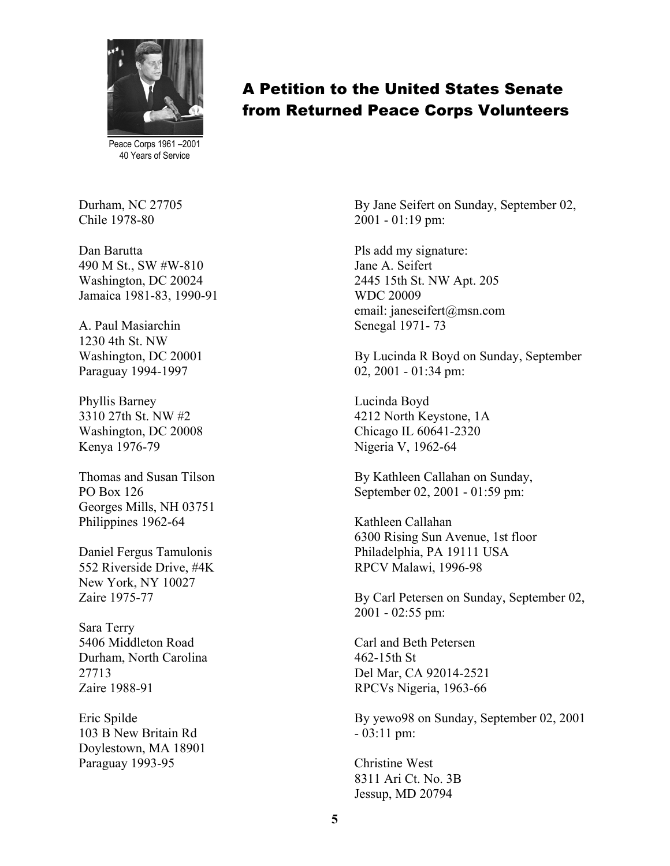

Peace Corps 1961 –2001 40 Years of Service

Durham, NC 27705 Chile 1978-80

Dan Barutta 490 M St., SW #W-810 Washington, DC 20024 Jamaica 1981-83, 1990-91

A. Paul Masiarchin 1230 4th St. NW Washington, DC 20001 Paraguay 1994-1997

Phyllis Barney 3310 27th St. NW #2 Washington, DC 20008 Kenya 1976-79

Thomas and Susan Tilson PO Box 126 Georges Mills, NH 03751 Philippines 1962-64

Daniel Fergus Tamulonis 552 Riverside Drive, #4K New York, NY 10027 Zaire 1975-77

Sara Terry 5406 Middleton Road Durham, North Carolina 27713 Zaire 1988-91

Eric Spilde 103 B New Britain Rd Doylestown, MA 18901 Paraguay 1993-95

#### A Petition to the United States Senate from Returned Peace Corps Volunteers

By Jane Seifert on Sunday, September 02, 2001 - 01:19 pm:

Pls add my signature: Jane A. Seifert 2445 15th St. NW Apt. 205 WDC 20009 email: janeseifert@msn.com Senegal 1971- 73

By Lucinda R Boyd on Sunday, September 02, 2001 - 01:34 pm:

Lucinda Boyd 4212 North Keystone, 1A Chicago IL 60641-2320 Nigeria V, 1962-64

By Kathleen Callahan on Sunday, September 02, 2001 - 01:59 pm:

Kathleen Callahan 6300 Rising Sun Avenue, 1st floor Philadelphia, PA 19111 USA RPCV Malawi, 1996-98

By Carl Petersen on Sunday, September 02, 2001 - 02:55 pm:

Carl and Beth Petersen 462-15th St Del Mar, CA 92014-2521 RPCVs Nigeria, 1963-66

By yewo98 on Sunday, September 02, 2001 - 03:11 pm:

Christine West 8311 Ari Ct. No. 3B Jessup, MD 20794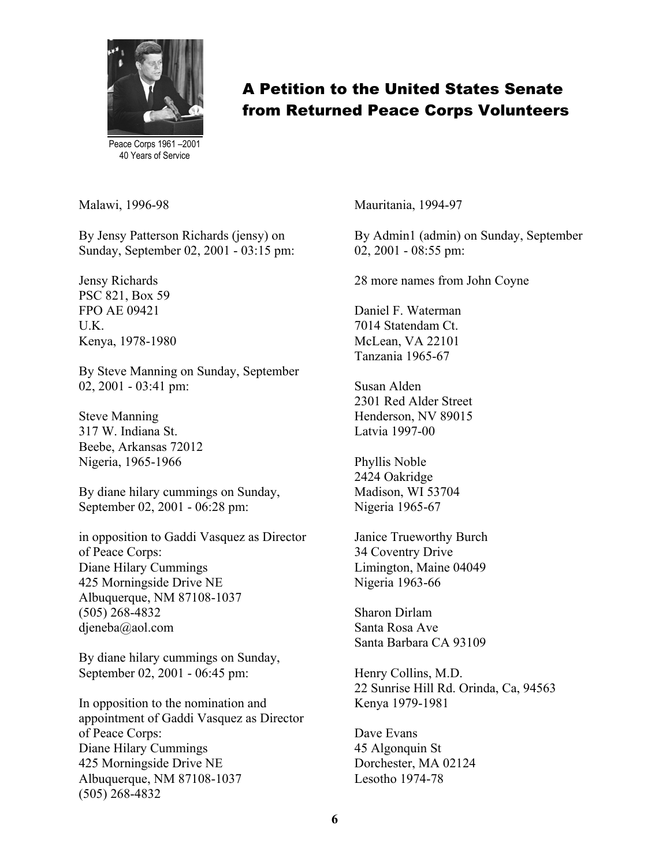

Peace Corps 1961 –2001 40 Years of Service

Malawi, 1996-98

By Jensy Patterson Richards (jensy) on Sunday, September 02, 2001 - 03:15 pm:

Jensy Richards PSC 821, Box 59 FPO AE 09421 U.K. Kenya, 1978-1980

By Steve Manning on Sunday, September 02, 2001 - 03:41 pm:

Steve Manning 317 W. Indiana St. Beebe, Arkansas 72012 Nigeria, 1965-1966

By diane hilary cummings on Sunday, September 02, 2001 - 06:28 pm:

in opposition to Gaddi Vasquez as Director of Peace Corps: Diane Hilary Cummings 425 Morningside Drive NE Albuquerque, NM 87108-1037 (505) 268-4832 djeneba@aol.com

By diane hilary cummings on Sunday, September 02, 2001 - 06:45 pm:

In opposition to the nomination and appointment of Gaddi Vasquez as Director of Peace Corps: Diane Hilary Cummings 425 Morningside Drive NE Albuquerque, NM 87108-1037 (505) 268-4832

Mauritania, 1994-97

By Admin1 (admin) on Sunday, September 02, 2001 - 08:55 pm:

28 more names from John Coyne

Daniel F. Waterman 7014 Statendam Ct. McLean, VA 22101 Tanzania 1965-67

Susan Alden 2301 Red Alder Street Henderson, NV 89015 Latvia 1997-00

Phyllis Noble 2424 Oakridge Madison, WI 53704 Nigeria 1965-67

Janice Trueworthy Burch 34 Coventry Drive Limington, Maine 04049 Nigeria 1963-66

Sharon Dirlam Santa Rosa Ave Santa Barbara CA 93109

Henry Collins, M.D. 22 Sunrise Hill Rd. Orinda, Ca, 94563 Kenya 1979-1981

Dave Evans 45 Algonquin St Dorchester, MA 02124 Lesotho 1974-78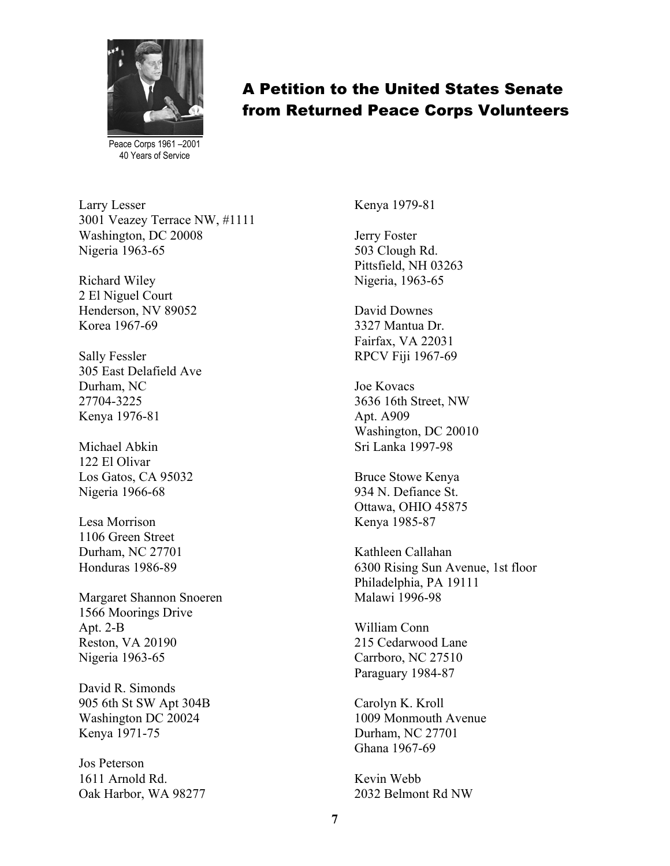

Peace Corps 1961 –2001 40 Years of Service

Larry Lesser 3001 Veazey Terrace NW, #1111 Washington, DC 20008 Nigeria 1963-65

Richard Wiley 2 El Niguel Court Henderson, NV 89052 Korea 1967-69

Sally Fessler 305 East Delafield Ave Durham, NC 27704-3225 Kenya 1976-81

Michael Abkin 122 El Olivar Los Gatos, CA 95032 Nigeria 1966-68

Lesa Morrison 1106 Green Street Durham, NC 27701 Honduras 1986-89

Margaret Shannon Snoeren 1566 Moorings Drive Apt. 2-B Reston, VA 20190 Nigeria 1963-65

David R. Simonds 905 6th St SW Apt 304B Washington DC 20024 Kenya 1971-75

Jos Peterson 1611 Arnold Rd. Oak Harbor, WA 98277 Kenya 1979-81

Jerry Foster 503 Clough Rd. Pittsfield, NH 03263 Nigeria, 1963-65

David Downes 3327 Mantua Dr. Fairfax, VA 22031 RPCV Fiji 1967-69

Joe Kovacs 3636 16th Street, NW Apt. A909 Washington, DC 20010 Sri Lanka 1997-98

Bruce Stowe Kenya 934 N. Defiance St. Ottawa, OHIO 45875 Kenya 1985-87

Kathleen Callahan 6300 Rising Sun Avenue, 1st floor Philadelphia, PA 19111 Malawi 1996-98

William Conn 215 Cedarwood Lane Carrboro, NC 27510 Paraguary 1984-87

Carolyn K. Kroll 1009 Monmouth Avenue Durham, NC 27701 Ghana 1967-69

Kevin Webb 2032 Belmont Rd NW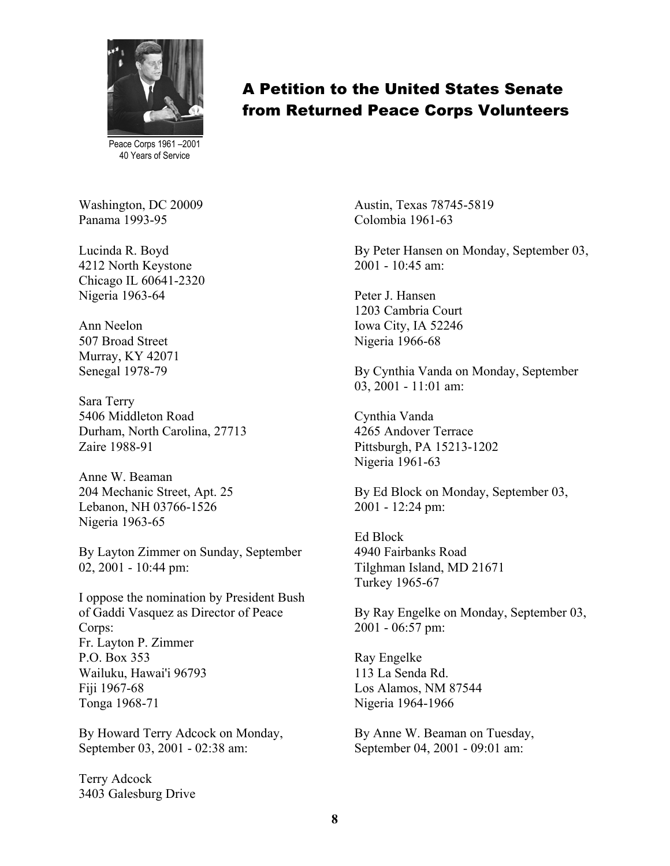

Peace Corps 1961 –2001 40 Years of Service

Washington, DC 20009 Panama 1993-95

Lucinda R. Boyd 4212 North Keystone Chicago IL 60641-2320 Nigeria 1963-64

Ann Neelon 507 Broad Street Murray, KY 42071 Senegal 1978-79

Sara Terry 5406 Middleton Road Durham, North Carolina, 27713 Zaire 1988-91

Anne W. Beaman 204 Mechanic Street, Apt. 25 Lebanon, NH 03766-1526 Nigeria 1963-65

By Layton Zimmer on Sunday, September 02, 2001 - 10:44 pm:

I oppose the nomination by President Bush of Gaddi Vasquez as Director of Peace Corps: Fr. Layton P. Zimmer P.O. Box 353 Wailuku, Hawai'i 96793 Fiji 1967-68 Tonga 1968-71

By Howard Terry Adcock on Monday, September 03, 2001 - 02:38 am:

Terry Adcock 3403 Galesburg Drive Austin, Texas 78745-5819 Colombia 1961-63

By Peter Hansen on Monday, September 03, 2001 - 10:45 am:

Peter J. Hansen 1203 Cambria Court Iowa City, IA 52246 Nigeria 1966-68

By Cynthia Vanda on Monday, September 03, 2001 - 11:01 am:

Cynthia Vanda 4265 Andover Terrace Pittsburgh, PA 15213-1202 Nigeria 1961-63

By Ed Block on Monday, September 03, 2001 - 12:24 pm:

Ed Block 4940 Fairbanks Road Tilghman Island, MD 21671 Turkey 1965-67

By Ray Engelke on Monday, September 03, 2001 - 06:57 pm:

Ray Engelke 113 La Senda Rd. Los Alamos, NM 87544 Nigeria 1964-1966

By Anne W. Beaman on Tuesday, September 04, 2001 - 09:01 am:

#### A Petition to the United States Senate from Returned Peace Corps Volunteers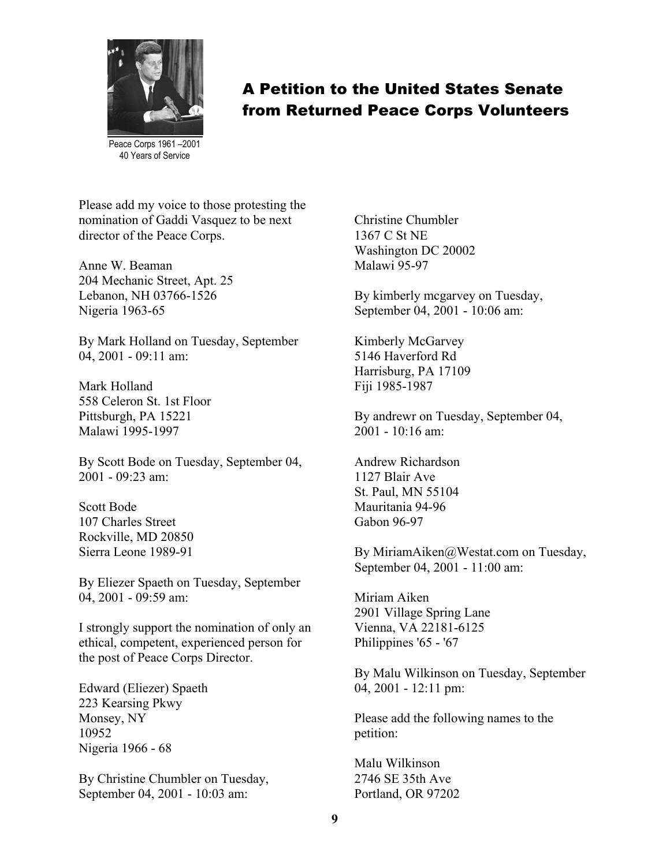

Peace Corps 1961 –2001 40 Years of Service

Please add my voice to those protesting the nomination of Gaddi Vasquez to be next director of the Peace Corps.

Anne W. Beaman 204 Mechanic Street, Apt. 25 Lebanon, NH 03766-1526 Nigeria 1963-65

By Mark Holland on Tuesday, September 04, 2001 - 09:11 am:

Mark Holland 558 Celeron St. 1st Floor Pittsburgh, PA 15221 Malawi 1995-1997

By Scott Bode on Tuesday, September 04, 2001 - 09:23 am:

Scott Bode 107 Charles Street Rockville, MD 20850 Sierra Leone 1989-91

By Eliezer Spaeth on Tuesday, September 04, 2001 - 09:59 am:

I strongly support the nomination of only an ethical, competent, experienced person for the post of Peace Corps Director.

Edward (Eliezer) Spaeth 223 Kearsing Pkwy Monsey, NY 10952 Nigeria 1966 - 68

By Christine Chumbler on Tuesday, September 04, 2001 - 10:03 am:

Christine Chumbler 1367 C St NE Washington DC 20002 Malawi 95-97

By kimberly mcgarvey on Tuesday, September 04, 2001 - 10:06 am:

Kimberly McGarvey 5146 Haverford Rd Harrisburg, PA 17109 Fiji 1985-1987

By andrewr on Tuesday, September 04,  $2001 - 10.16$  am:

Andrew Richardson 1127 Blair Ave St. Paul, MN 55104 Mauritania 94-96 Gabon 96-97

By MiriamAiken@Westat.com on Tuesday, September 04, 2001 - 11:00 am:

Miriam Aiken 2901 Village Spring Lane Vienna, VA 22181-6125 Philippines '65 - '67

By Malu Wilkinson on Tuesday, September 04, 2001 - 12:11 pm:

Please add the following names to the petition:

Malu Wilkinson 2746 SE 35th Ave Portland, OR 97202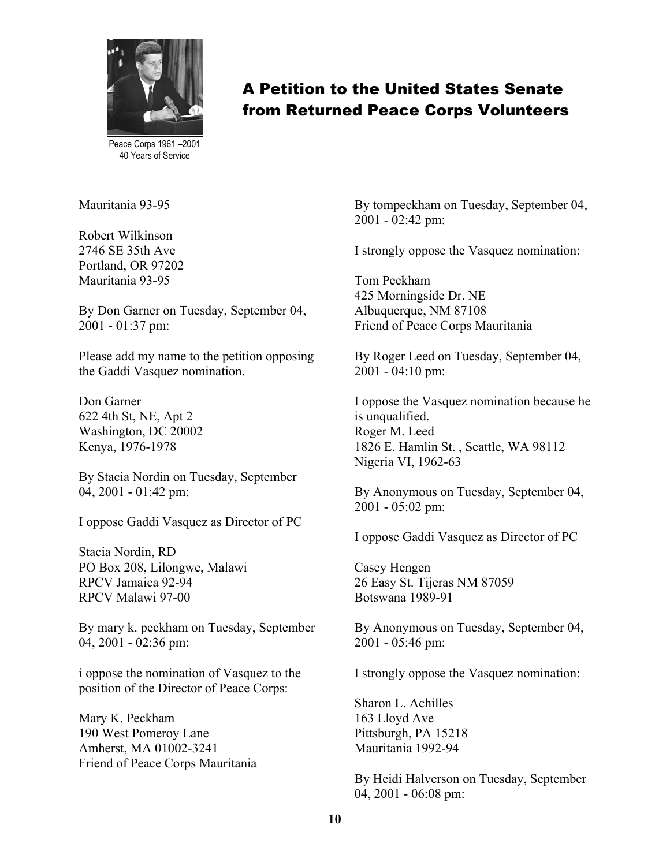

Peace Corps 1961 –2001 40 Years of Service

Mauritania 93-95

Robert Wilkinson 2746 SE 35th Ave Portland, OR 97202 Mauritania 93-95

By Don Garner on Tuesday, September 04, 2001 - 01:37 pm:

Please add my name to the petition opposing the Gaddi Vasquez nomination.

Don Garner 622 4th St, NE, Apt 2 Washington, DC 20002 Kenya, 1976-1978

By Stacia Nordin on Tuesday, September 04, 2001 - 01:42 pm:

I oppose Gaddi Vasquez as Director of PC

Stacia Nordin, RD PO Box 208, Lilongwe, Malawi RPCV Jamaica 92-94 RPCV Malawi 97-00

By mary k. peckham on Tuesday, September 04, 2001 - 02:36 pm:

i oppose the nomination of Vasquez to the position of the Director of Peace Corps:

Mary K. Peckham 190 West Pomeroy Lane Amherst, MA 01002-3241 Friend of Peace Corps Mauritania By tompeckham on Tuesday, September 04, 2001 - 02:42 pm:

I strongly oppose the Vasquez nomination:

Tom Peckham 425 Morningside Dr. NE Albuquerque, NM 87108 Friend of Peace Corps Mauritania

By Roger Leed on Tuesday, September 04, 2001 - 04:10 pm:

I oppose the Vasquez nomination because he is unqualified. Roger M. Leed 1826 E. Hamlin St. , Seattle, WA 98112 Nigeria VI, 1962-63

By Anonymous on Tuesday, September 04, 2001 - 05:02 pm:

I oppose Gaddi Vasquez as Director of PC

Casey Hengen 26 Easy St. Tijeras NM 87059 Botswana 1989-91

By Anonymous on Tuesday, September 04, 2001 - 05:46 pm:

I strongly oppose the Vasquez nomination:

Sharon L. Achilles 163 Lloyd Ave Pittsburgh, PA 15218 Mauritania 1992-94

By Heidi Halverson on Tuesday, September 04, 2001 - 06:08 pm: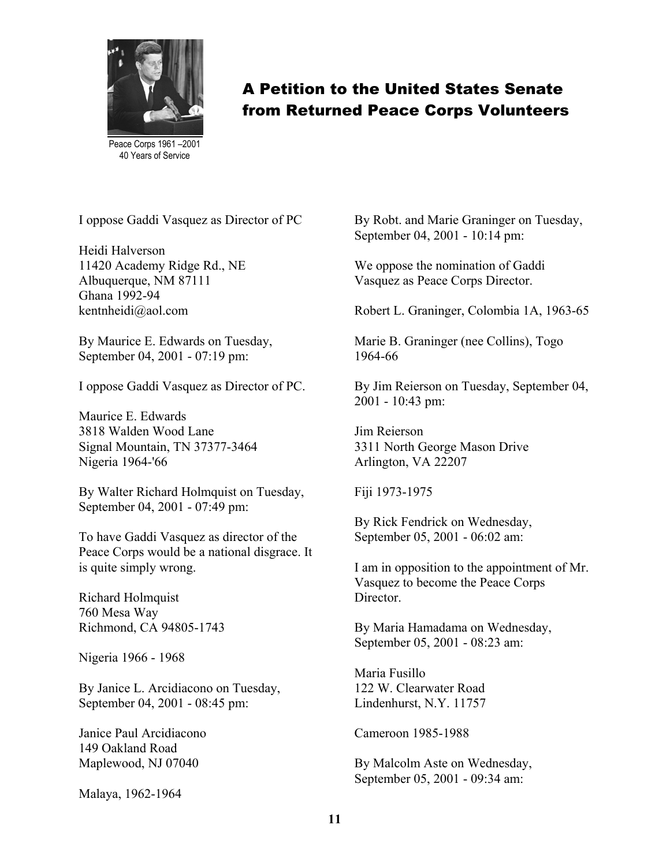

Peace Corps 1961 –2001 40 Years of Service

I oppose Gaddi Vasquez as Director of PC

Heidi Halverson 11420 Academy Ridge Rd., NE Albuquerque, NM 87111 Ghana 1992-94 kentnheidi@aol.com

By Maurice E. Edwards on Tuesday, September 04, 2001 - 07:19 pm:

I oppose Gaddi Vasquez as Director of PC.

Maurice E. Edwards 3818 Walden Wood Lane Signal Mountain, TN 37377-3464 Nigeria 1964-'66

By Walter Richard Holmquist on Tuesday, September 04, 2001 - 07:49 pm:

To have Gaddi Vasquez as director of the Peace Corps would be a national disgrace. It is quite simply wrong.

Richard Holmquist 760 Mesa Way Richmond, CA 94805-1743

Nigeria 1966 - 1968

By Janice L. Arcidiacono on Tuesday, September 04, 2001 - 08:45 pm:

Janice Paul Arcidiacono 149 Oakland Road Maplewood, NJ 07040

Malaya, 1962-1964

By Robt. and Marie Graninger on Tuesday, September 04, 2001 - 10:14 pm:

We oppose the nomination of Gaddi Vasquez as Peace Corps Director.

Robert L. Graninger, Colombia 1A, 1963-65

Marie B. Graninger (nee Collins), Togo 1964-66

By Jim Reierson on Tuesday, September 04, 2001 - 10:43 pm:

Jim Reierson 3311 North George Mason Drive Arlington, VA 22207

Fiji 1973-1975

By Rick Fendrick on Wednesday, September 05, 2001 - 06:02 am:

I am in opposition to the appointment of Mr. Vasquez to become the Peace Corps **Director** 

By Maria Hamadama on Wednesday, September 05, 2001 - 08:23 am:

Maria Fusillo 122 W. Clearwater Road Lindenhurst, N.Y. 11757

Cameroon 1985-1988

By Malcolm Aste on Wednesday, September 05, 2001 - 09:34 am: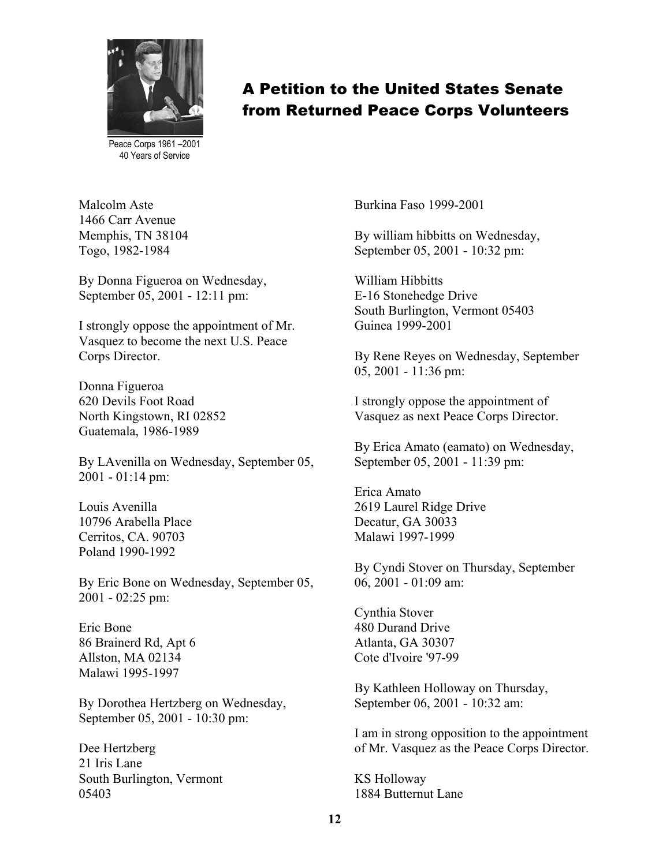

Peace Corps 1961 –2001 40 Years of Service

Malcolm Aste 1466 Carr Avenue Memphis, TN 38104 Togo, 1982-1984

By Donna Figueroa on Wednesday, September 05, 2001 - 12:11 pm:

I strongly oppose the appointment of Mr. Vasquez to become the next U.S. Peace Corps Director.

Donna Figueroa 620 Devils Foot Road North Kingstown, RI 02852 Guatemala, 1986-1989

By LAvenilla on Wednesday, September 05, 2001 - 01:14 pm:

Louis Avenilla 10796 Arabella Place Cerritos, CA. 90703 Poland 1990-1992

By Eric Bone on Wednesday, September 05, 2001 - 02:25 pm:

Eric Bone 86 Brainerd Rd, Apt 6 Allston, MA 02134 Malawi 1995-1997

By Dorothea Hertzberg on Wednesday, September 05, 2001 - 10:30 pm:

Dee Hertzberg 21 Iris Lane South Burlington, Vermont 05403

Burkina Faso 1999-2001

By william hibbitts on Wednesday, September 05, 2001 - 10:32 pm:

William Hibbitts E-16 Stonehedge Drive South Burlington, Vermont 05403 Guinea 1999-2001

By Rene Reyes on Wednesday, September 05, 2001 - 11:36 pm:

I strongly oppose the appointment of Vasquez as next Peace Corps Director.

By Erica Amato (eamato) on Wednesday, September 05, 2001 - 11:39 pm:

Erica Amato 2619 Laurel Ridge Drive Decatur, GA 30033 Malawi 1997-1999

By Cyndi Stover on Thursday, September 06, 2001 - 01:09 am:

Cynthia Stover 480 Durand Drive Atlanta, GA 30307 Cote d'Ivoire '97-99

By Kathleen Holloway on Thursday, September 06, 2001 - 10:32 am:

I am in strong opposition to the appointment of Mr. Vasquez as the Peace Corps Director.

KS Holloway 1884 Butternut Lane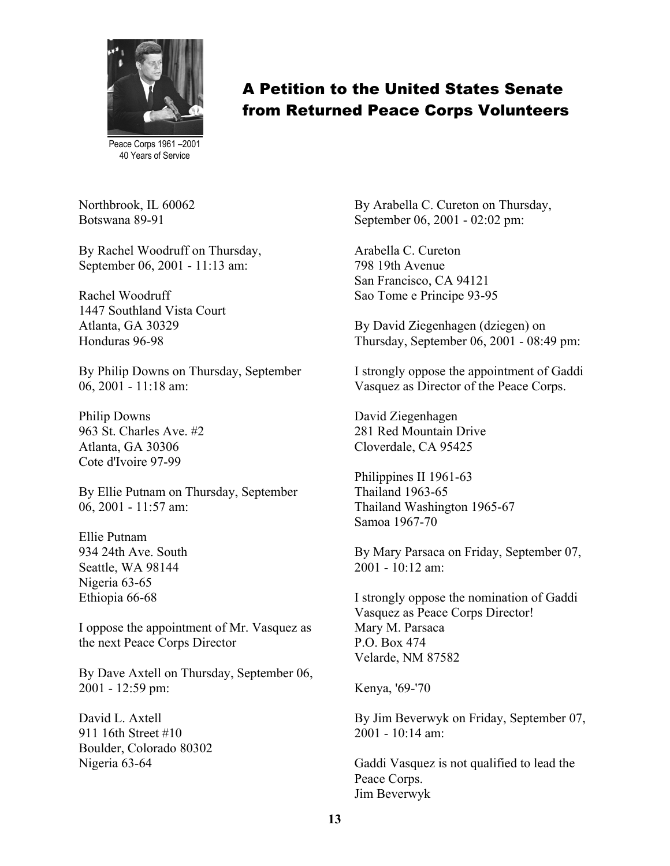

Peace Corps 1961 –2001 40 Years of Service

Northbrook, IL 60062 Botswana 89-91

By Rachel Woodruff on Thursday, September 06, 2001 - 11:13 am:

Rachel Woodruff 1447 Southland Vista Court Atlanta, GA 30329 Honduras 96-98

By Philip Downs on Thursday, September 06, 2001 - 11:18 am:

Philip Downs 963 St. Charles Ave. #2 Atlanta, GA 30306 Cote d'Ivoire 97-99

By Ellie Putnam on Thursday, September 06, 2001 - 11:57 am:

Ellie Putnam 934 24th Ave. South Seattle, WA 98144 Nigeria 63-65 Ethiopia 66-68

I oppose the appointment of Mr. Vasquez as the next Peace Corps Director

By Dave Axtell on Thursday, September 06, 2001 - 12:59 pm:

David L. Axtell 911 16th Street #10 Boulder, Colorado 80302 Nigeria 63-64

By Arabella C. Cureton on Thursday, September 06, 2001 - 02:02 pm:

Arabella C. Cureton 798 19th Avenue San Francisco, CA 94121 Sao Tome e Principe 93-95

By David Ziegenhagen (dziegen) on Thursday, September 06, 2001 - 08:49 pm:

I strongly oppose the appointment of Gaddi Vasquez as Director of the Peace Corps.

David Ziegenhagen 281 Red Mountain Drive Cloverdale, CA 95425

Philippines II 1961-63 Thailand 1963-65 Thailand Washington 1965-67 Samoa 1967-70

By Mary Parsaca on Friday, September 07,  $2001 - 10.12$  am:

I strongly oppose the nomination of Gaddi Vasquez as Peace Corps Director! Mary M. Parsaca P.O. Box 474 Velarde, NM 87582

Kenya, '69-'70

By Jim Beverwyk on Friday, September 07,  $2001 - 10.14$  am:

Gaddi Vasquez is not qualified to lead the Peace Corps. Jim Beverwyk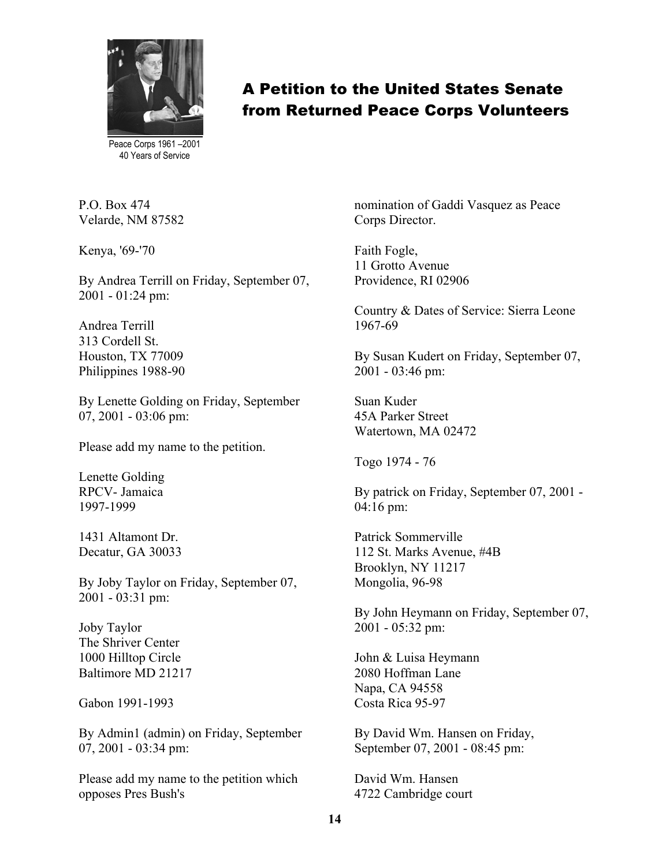

Peace Corps 1961 –2001 40 Years of Service

P.O. Box 474 Velarde, NM 87582

Kenya, '69-'70

By Andrea Terrill on Friday, September 07, 2001 - 01:24 pm:

Andrea Terrill 313 Cordell St. Houston, TX 77009 Philippines 1988-90

By Lenette Golding on Friday, September 07, 2001 - 03:06 pm:

Please add my name to the petition.

Lenette Golding RPCV- Jamaica 1997-1999

1431 Altamont Dr. Decatur, GA 30033

By Joby Taylor on Friday, September 07, 2001 - 03:31 pm:

Joby Taylor The Shriver Center 1000 Hilltop Circle Baltimore MD 21217

Gabon 1991-1993

By Admin1 (admin) on Friday, September 07, 2001 - 03:34 pm:

Please add my name to the petition which opposes Pres Bush's

nomination of Gaddi Vasquez as Peace Corps Director.

Faith Fogle, 11 Grotto Avenue Providence, RI 02906

Country & Dates of Service: Sierra Leone 1967-69

By Susan Kudert on Friday, September 07, 2001 - 03:46 pm:

Suan Kuder 45A Parker Street Watertown, MA 02472

Togo 1974 - 76

By patrick on Friday, September 07, 2001 - 04:16 pm:

Patrick Sommerville 112 St. Marks Avenue, #4B Brooklyn, NY 11217 Mongolia, 96-98

By John Heymann on Friday, September 07, 2001 - 05:32 pm:

John & Luisa Heymann 2080 Hoffman Lane Napa, CA 94558 Costa Rica 95-97

By David Wm. Hansen on Friday, September 07, 2001 - 08:45 pm:

David Wm. Hansen 4722 Cambridge court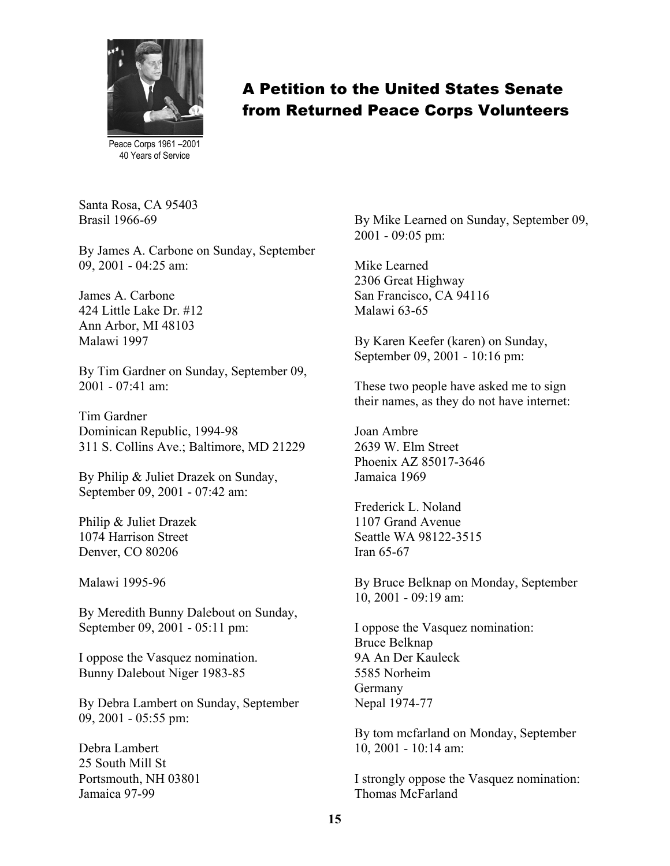

Peace Corps 1961 –2001 40 Years of Service

Santa Rosa, CA 95403 Brasil 1966-69

By James A. Carbone on Sunday, September 09, 2001 - 04:25 am:

James A. Carbone 424 Little Lake Dr. #12 Ann Arbor, MI 48103 Malawi 1997

By Tim Gardner on Sunday, September 09, 2001 - 07:41 am:

Tim Gardner Dominican Republic, 1994-98 311 S. Collins Ave.; Baltimore, MD 21229

By Philip & Juliet Drazek on Sunday, September 09, 2001 - 07:42 am:

Philip & Juliet Drazek 1074 Harrison Street Denver, CO 80206

Malawi 1995-96

By Meredith Bunny Dalebout on Sunday, September 09, 2001 - 05:11 pm:

I oppose the Vasquez nomination. Bunny Dalebout Niger 1983-85

By Debra Lambert on Sunday, September 09, 2001 - 05:55 pm:

Debra Lambert 25 South Mill St Portsmouth, NH 03801 Jamaica 97-99

By Mike Learned on Sunday, September 09, 2001 - 09:05 pm:

Mike Learned 2306 Great Highway San Francisco, CA 94116 Malawi 63-65

By Karen Keefer (karen) on Sunday, September 09, 2001 - 10:16 pm:

These two people have asked me to sign their names, as they do not have internet:

Joan Ambre 2639 W. Elm Street Phoenix AZ 85017-3646 Jamaica 1969

Frederick L. Noland 1107 Grand Avenue Seattle WA 98122-3515 Iran 65-67

By Bruce Belknap on Monday, September 10, 2001 - 09:19 am:

I oppose the Vasquez nomination: Bruce Belknap 9A An Der Kauleck 5585 Norheim Germany Nepal 1974-77

By tom mcfarland on Monday, September 10, 2001 - 10:14 am:

I strongly oppose the Vasquez nomination: Thomas McFarland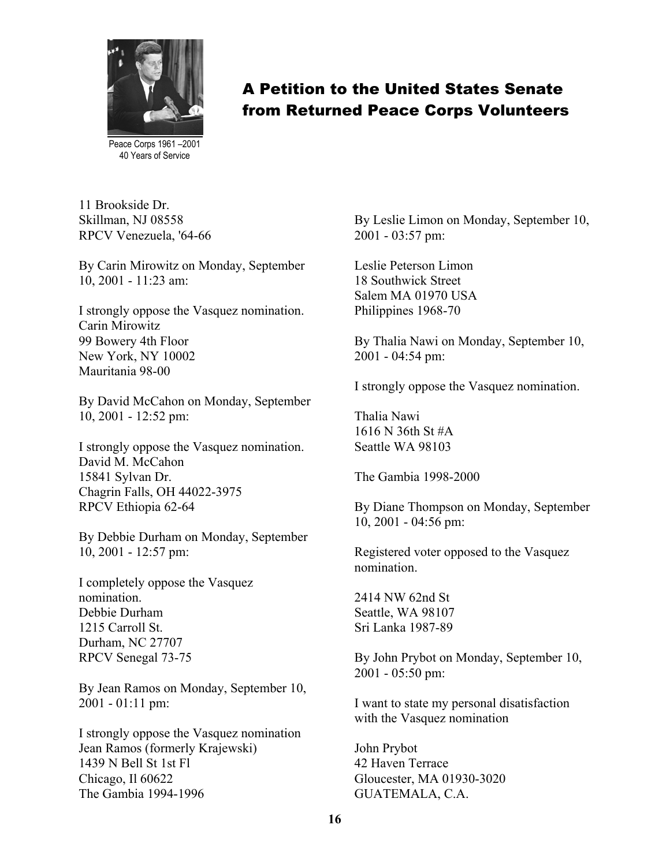

Peace Corps 1961 –2001 40 Years of Service

11 Brookside Dr. Skillman, NJ 08558 RPCV Venezuela, '64-66

By Carin Mirowitz on Monday, September 10, 2001 - 11:23 am:

I strongly oppose the Vasquez nomination. Carin Mirowitz 99 Bowery 4th Floor New York, NY 10002 Mauritania 98-00

By David McCahon on Monday, September 10, 2001 - 12:52 pm:

I strongly oppose the Vasquez nomination. David M. McCahon 15841 Sylvan Dr. Chagrin Falls, OH 44022-3975 RPCV Ethiopia 62-64

By Debbie Durham on Monday, September 10, 2001 - 12:57 pm:

I completely oppose the Vasquez nomination. Debbie Durham 1215 Carroll St. Durham, NC 27707 RPCV Senegal 73-75

By Jean Ramos on Monday, September 10, 2001 - 01:11 pm:

I strongly oppose the Vasquez nomination Jean Ramos (formerly Krajewski) 1439 N Bell St 1st Fl Chicago, Il 60622 The Gambia 1994-1996

By Leslie Limon on Monday, September 10, 2001 - 03:57 pm:

Leslie Peterson Limon 18 Southwick Street Salem MA 01970 USA Philippines 1968-70

By Thalia Nawi on Monday, September 10, 2001 - 04:54 pm:

I strongly oppose the Vasquez nomination.

Thalia Nawi 1616 N 36th St #A Seattle WA 98103

The Gambia 1998-2000

By Diane Thompson on Monday, September 10, 2001 - 04:56 pm:

Registered voter opposed to the Vasquez nomination.

2414 NW 62nd St Seattle, WA 98107 Sri Lanka 1987-89

By John Prybot on Monday, September 10, 2001 - 05:50 pm:

I want to state my personal disatisfaction with the Vasquez nomination

John Prybot 42 Haven Terrace Gloucester, MA 01930-3020 GUATEMALA, C.A.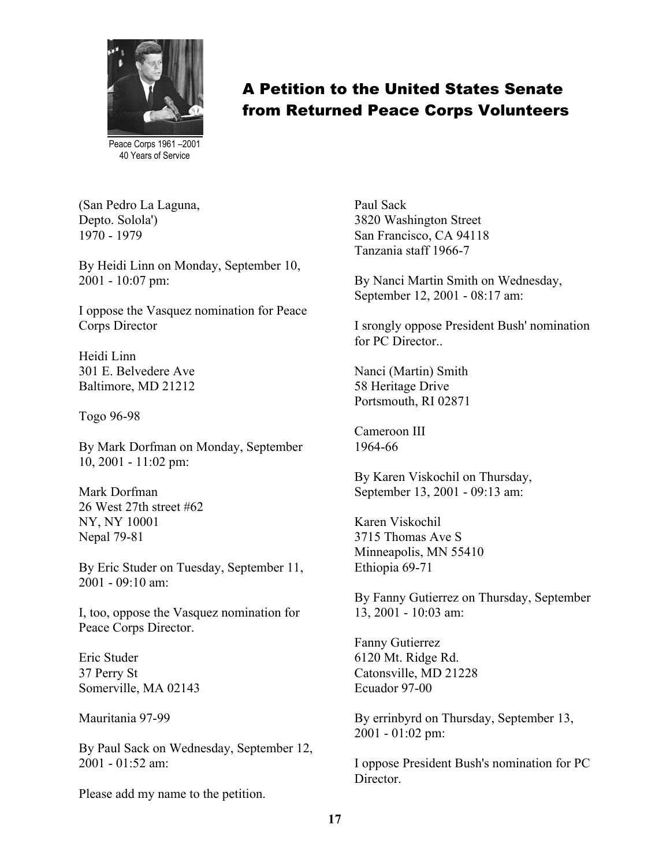

Peace Corps 1961 –2001 40 Years of Service

(San Pedro La Laguna, Depto. Solola') 1970 - 1979

By Heidi Linn on Monday, September 10, 2001 - 10:07 pm:

I oppose the Vasquez nomination for Peace Corps Director

Heidi Linn 301 E. Belvedere Ave Baltimore, MD 21212

Togo 96-98

By Mark Dorfman on Monday, September 10, 2001 - 11:02 pm:

Mark Dorfman 26 West 27th street #62 NY, NY 10001 Nepal 79-81

By Eric Studer on Tuesday, September 11, 2001 - 09:10 am:

I, too, oppose the Vasquez nomination for Peace Corps Director.

Eric Studer 37 Perry St Somerville, MA 02143

Mauritania 97-99

By Paul Sack on Wednesday, September 12, 2001 - 01:52 am:

Please add my name to the petition.

Paul Sack 3820 Washington Street San Francisco, CA 94118 Tanzania staff 1966-7

By Nanci Martin Smith on Wednesday, September 12, 2001 - 08:17 am:

I srongly oppose President Bush' nomination for PC Director

Nanci (Martin) Smith 58 Heritage Drive Portsmouth, RI 02871

Cameroon III 1964-66

By Karen Viskochil on Thursday, September 13, 2001 - 09:13 am:

Karen Viskochil 3715 Thomas Ave S Minneapolis, MN 55410 Ethiopia 69-71

By Fanny Gutierrez on Thursday, September 13, 2001 - 10:03 am:

Fanny Gutierrez 6120 Mt. Ridge Rd. Catonsville, MD 21228 Ecuador 97-00

By errinbyrd on Thursday, September 13, 2001 - 01:02 pm:

I oppose President Bush's nomination for PC Director.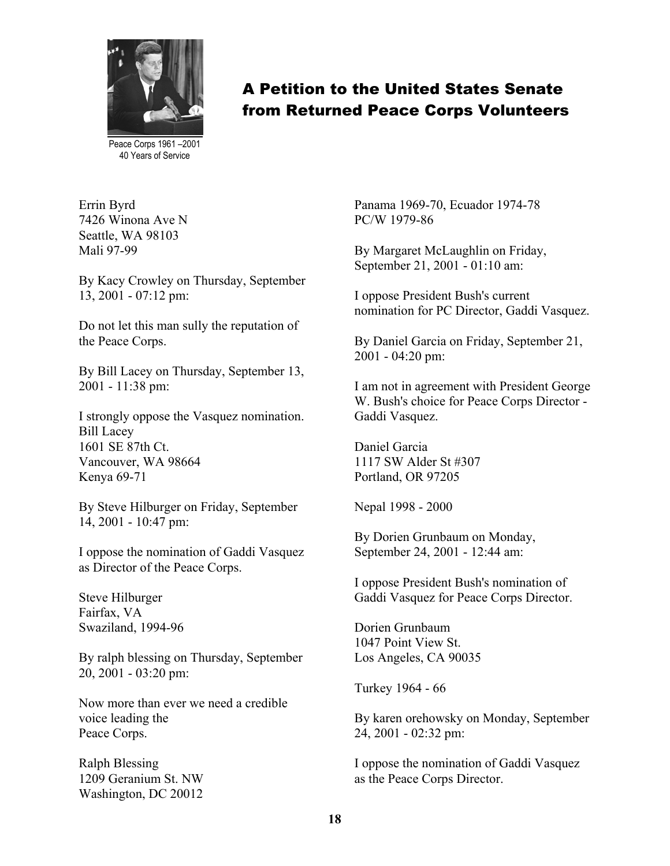

Peace Corps 1961 –2001 40 Years of Service

Errin Byrd 7426 Winona Ave N Seattle, WA 98103 Mali 97-99

By Kacy Crowley on Thursday, September 13, 2001 - 07:12 pm:

Do not let this man sully the reputation of the Peace Corps.

By Bill Lacey on Thursday, September 13, 2001 - 11:38 pm:

I strongly oppose the Vasquez nomination. Bill Lacey 1601 SE 87th Ct. Vancouver, WA 98664 Kenya 69-71

By Steve Hilburger on Friday, September 14, 2001 - 10:47 pm:

I oppose the nomination of Gaddi Vasquez as Director of the Peace Corps.

Steve Hilburger Fairfax, VA Swaziland, 1994-96

By ralph blessing on Thursday, September 20, 2001 - 03:20 pm:

Now more than ever we need a credible voice leading the Peace Corps.

Ralph Blessing 1209 Geranium St. NW Washington, DC 20012

Panama 1969-70, Ecuador 1974-78 PC/W 1979-86

By Margaret McLaughlin on Friday, September 21, 2001 - 01:10 am:

I oppose President Bush's current nomination for PC Director, Gaddi Vasquez.

By Daniel Garcia on Friday, September 21, 2001 - 04:20 pm:

I am not in agreement with President George W. Bush's choice for Peace Corps Director - Gaddi Vasquez.

Daniel Garcia 1117 SW Alder St #307 Portland, OR 97205

Nepal 1998 - 2000

By Dorien Grunbaum on Monday, September 24, 2001 - 12:44 am:

I oppose President Bush's nomination of Gaddi Vasquez for Peace Corps Director.

Dorien Grunbaum 1047 Point View St. Los Angeles, CA 90035

Turkey 1964 - 66

By karen orehowsky on Monday, September 24, 2001 - 02:32 pm:

I oppose the nomination of Gaddi Vasquez as the Peace Corps Director.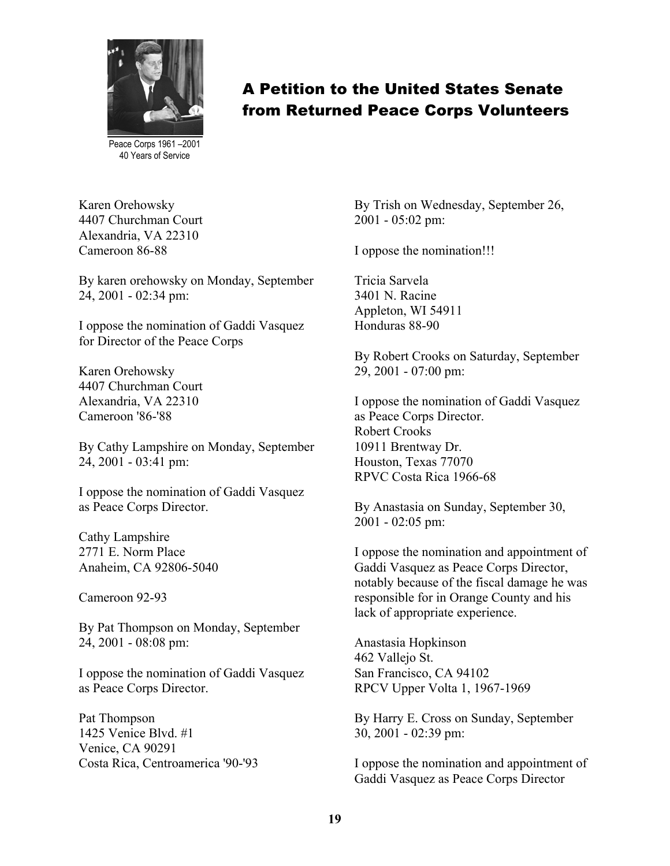

Peace Corps 1961 –2001 40 Years of Service

Karen Orehowsky 4407 Churchman Court Alexandria, VA 22310 Cameroon 86-88

By karen orehowsky on Monday, September 24, 2001 - 02:34 pm:

I oppose the nomination of Gaddi Vasquez for Director of the Peace Corps

Karen Orehowsky 4407 Churchman Court Alexandria, VA 22310 Cameroon '86-'88

By Cathy Lampshire on Monday, September 24, 2001 - 03:41 pm:

I oppose the nomination of Gaddi Vasquez as Peace Corps Director.

Cathy Lampshire 2771 E. Norm Place Anaheim, CA 92806-5040

Cameroon 92-93

By Pat Thompson on Monday, September 24, 2001 - 08:08 pm:

I oppose the nomination of Gaddi Vasquez as Peace Corps Director.

Pat Thompson 1425 Venice Blvd. #1 Venice, CA 90291 Costa Rica, Centroamerica '90-'93 By Trish on Wednesday, September 26, 2001 - 05:02 pm:

I oppose the nomination!!!

Tricia Sarvela 3401 N. Racine Appleton, WI 54911 Honduras 88-90

By Robert Crooks on Saturday, September 29, 2001 - 07:00 pm:

I oppose the nomination of Gaddi Vasquez as Peace Corps Director. Robert Crooks 10911 Brentway Dr. Houston, Texas 77070 RPVC Costa Rica 1966-68

By Anastasia on Sunday, September 30, 2001 - 02:05 pm:

I oppose the nomination and appointment of Gaddi Vasquez as Peace Corps Director, notably because of the fiscal damage he was responsible for in Orange County and his lack of appropriate experience.

Anastasia Hopkinson 462 Vallejo St. San Francisco, CA 94102 RPCV Upper Volta 1, 1967-1969

By Harry E. Cross on Sunday, September 30, 2001 - 02:39 pm:

I oppose the nomination and appointment of Gaddi Vasquez as Peace Corps Director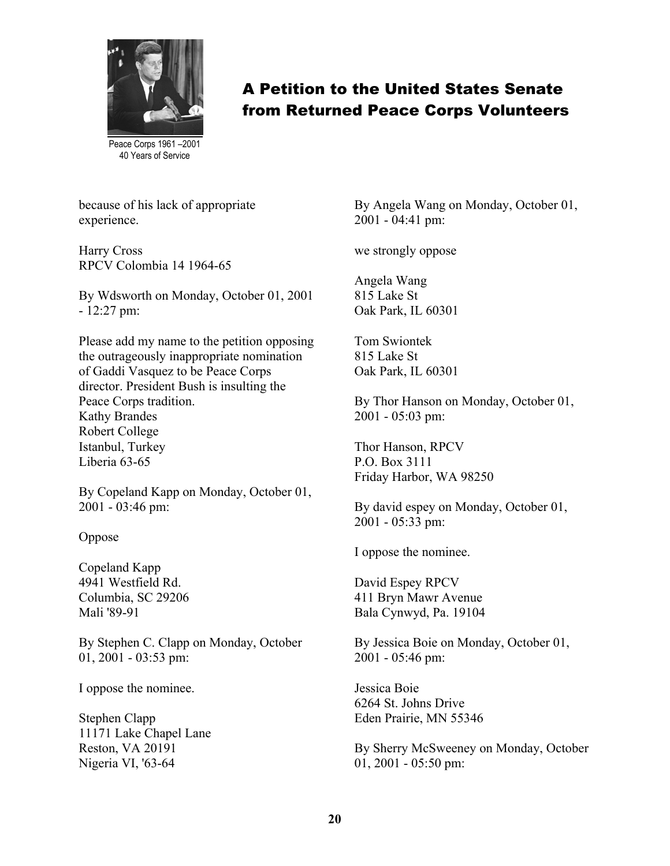

Peace Corps 1961 –2001 40 Years of Service

because of his lack of appropriate experience.

Harry Cross RPCV Colombia 14 1964-65

By Wdsworth on Monday, October 01, 2001 - 12:27 pm:

Please add my name to the petition opposing the outrageously inappropriate nomination of Gaddi Vasquez to be Peace Corps director. President Bush is insulting the Peace Corps tradition. Kathy Brandes Robert College Istanbul, Turkey Liberia 63-65

By Copeland Kapp on Monday, October 01, 2001 - 03:46 pm:

Oppose

Copeland Kapp 4941 Westfield Rd. Columbia, SC 29206 Mali '89-91

By Stephen C. Clapp on Monday, October 01, 2001 - 03:53 pm:

I oppose the nominee.

Stephen Clapp 11171 Lake Chapel Lane Reston, VA 20191 Nigeria VI, '63-64

By Angela Wang on Monday, October 01, 2001 - 04:41 pm:

we strongly oppose

Angela Wang 815 Lake St Oak Park, IL 60301

Tom Swiontek 815 Lake St Oak Park, IL 60301

By Thor Hanson on Monday, October 01, 2001 - 05:03 pm:

Thor Hanson, RPCV P.O. Box 3111 Friday Harbor, WA 98250

By david espey on Monday, October 01, 2001 - 05:33 pm:

I oppose the nominee.

David Espey RPCV 411 Bryn Mawr Avenue Bala Cynwyd, Pa. 19104

By Jessica Boie on Monday, October 01, 2001 - 05:46 pm:

Jessica Boie 6264 St. Johns Drive Eden Prairie, MN 55346

By Sherry McSweeney on Monday, October 01, 2001 - 05:50 pm: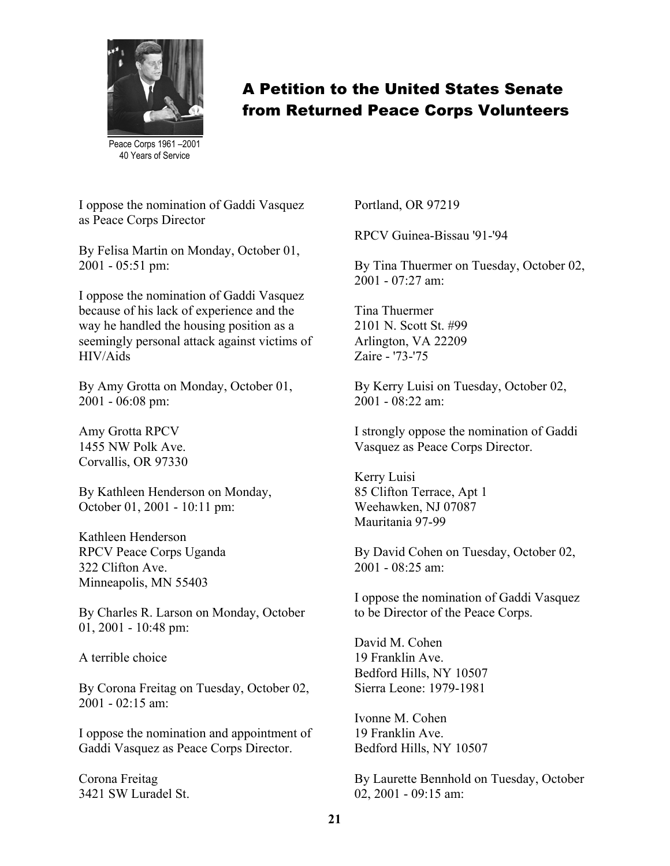

Peace Corps 1961 –2001 40 Years of Service

I oppose the nomination of Gaddi Vasquez as Peace Corps Director

By Felisa Martin on Monday, October 01, 2001 - 05:51 pm:

I oppose the nomination of Gaddi Vasquez because of his lack of experience and the way he handled the housing position as a seemingly personal attack against victims of HIV/Aids

By Amy Grotta on Monday, October 01, 2001 - 06:08 pm:

Amy Grotta RPCV 1455 NW Polk Ave. Corvallis, OR 97330

By Kathleen Henderson on Monday, October 01, 2001 - 10:11 pm:

Kathleen Henderson RPCV Peace Corps Uganda 322 Clifton Ave. Minneapolis, MN 55403

By Charles R. Larson on Monday, October 01, 2001 - 10:48 pm:

A terrible choice

By Corona Freitag on Tuesday, October 02, 2001 - 02:15 am:

I oppose the nomination and appointment of Gaddi Vasquez as Peace Corps Director.

Corona Freitag 3421 SW Luradel St. Portland, OR 97219

RPCV Guinea-Bissau '91-'94

By Tina Thuermer on Tuesday, October 02,  $2001 - 07.27$  am:

Tina Thuermer 2101 N. Scott St. #99 Arlington, VA 22209 Zaire - '73-'75

By Kerry Luisi on Tuesday, October 02, 2001 - 08:22 am:

I strongly oppose the nomination of Gaddi Vasquez as Peace Corps Director.

Kerry Luisi 85 Clifton Terrace, Apt 1 Weehawken, NJ 07087 Mauritania 97-99

By David Cohen on Tuesday, October 02,  $2001 - 08.25$  am:

I oppose the nomination of Gaddi Vasquez to be Director of the Peace Corps.

David M. Cohen 19 Franklin Ave. Bedford Hills, NY 10507 Sierra Leone: 1979-1981

Ivonne M. Cohen 19 Franklin Ave. Bedford Hills, NY 10507

By Laurette Bennhold on Tuesday, October 02, 2001 - 09:15 am: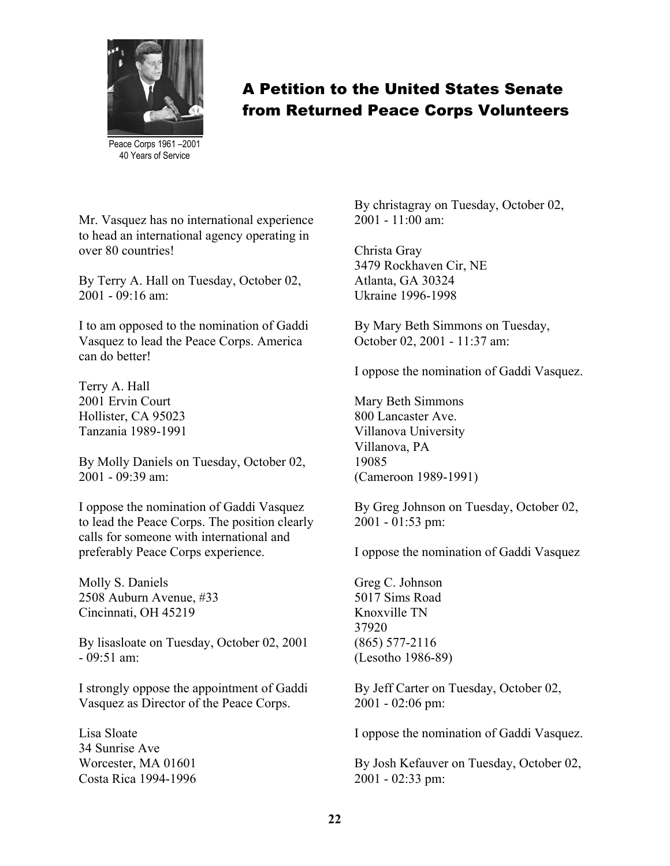

Peace Corps 1961 –2001 40 Years of Service

Mr. Vasquez has no international experience to head an international agency operating in over 80 countries!

By Terry A. Hall on Tuesday, October 02, 2001 - 09:16 am:

I to am opposed to the nomination of Gaddi Vasquez to lead the Peace Corps. America can do better!

Terry A. Hall 2001 Ervin Court Hollister, CA 95023 Tanzania 1989-1991

By Molly Daniels on Tuesday, October 02, 2001 - 09:39 am:

I oppose the nomination of Gaddi Vasquez to lead the Peace Corps. The position clearly calls for someone with international and preferably Peace Corps experience.

Molly S. Daniels 2508 Auburn Avenue, #33 Cincinnati, OH 45219

By lisasloate on Tuesday, October 02, 2001  $-09.51$  am<sup>-</sup>

I strongly oppose the appointment of Gaddi Vasquez as Director of the Peace Corps.

Lisa Sloate 34 Sunrise Ave Worcester, MA 01601 Costa Rica 1994-1996 By christagray on Tuesday, October 02,  $2001 - 11.00$  am:

Christa Gray 3479 Rockhaven Cir, NE Atlanta, GA 30324 Ukraine 1996-1998

By Mary Beth Simmons on Tuesday, October 02, 2001 - 11:37 am:

I oppose the nomination of Gaddi Vasquez.

Mary Beth Simmons 800 Lancaster Ave. Villanova University Villanova, PA 19085 (Cameroon 1989-1991)

By Greg Johnson on Tuesday, October 02, 2001 - 01:53 pm:

I oppose the nomination of Gaddi Vasquez

Greg C. Johnson 5017 Sims Road Knoxville TN 37920 (865) 577-2116 (Lesotho 1986-89)

By Jeff Carter on Tuesday, October 02, 2001 - 02:06 pm:

I oppose the nomination of Gaddi Vasquez.

By Josh Kefauver on Tuesday, October 02, 2001 - 02:33 pm: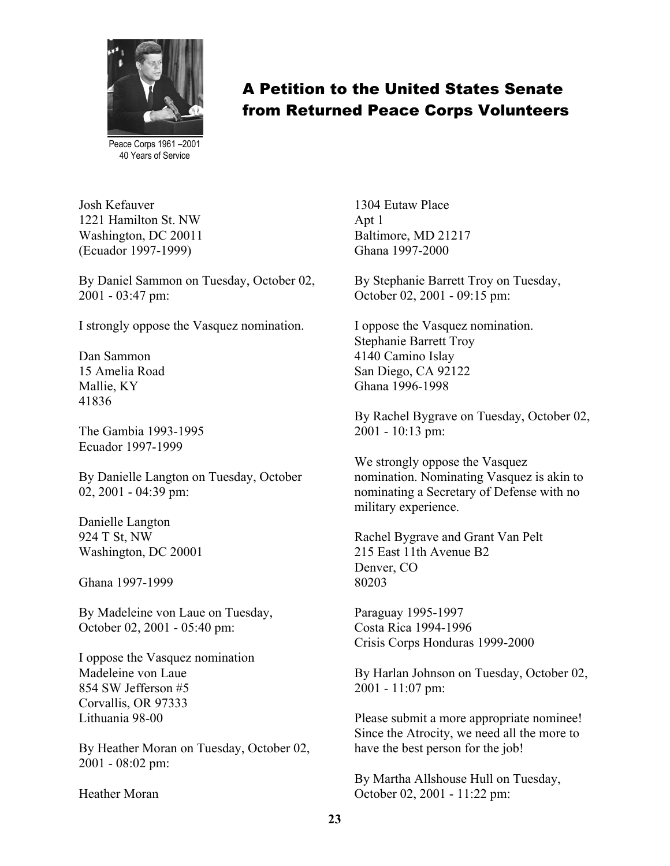

Peace Corps 1961 –2001 40 Years of Service

Josh Kefauver 1221 Hamilton St. NW Washington, DC 20011 (Ecuador 1997-1999)

By Daniel Sammon on Tuesday, October 02, 2001 - 03:47 pm:

I strongly oppose the Vasquez nomination.

Dan Sammon 15 Amelia Road Mallie, KY 41836

The Gambia 1993-1995 Ecuador 1997-1999

By Danielle Langton on Tuesday, October 02, 2001 - 04:39 pm:

Danielle Langton 924 T St, NW Washington, DC 20001

Ghana 1997-1999

By Madeleine von Laue on Tuesday, October 02, 2001 - 05:40 pm:

I oppose the Vasquez nomination Madeleine von Laue 854 SW Jefferson #5 Corvallis, OR 97333 Lithuania 98-00

By Heather Moran on Tuesday, October 02, 2001 - 08:02 pm:

Heather Moran

1304 Eutaw Place Apt 1 Baltimore, MD 21217 Ghana 1997-2000

By Stephanie Barrett Troy on Tuesday, October 02, 2001 - 09:15 pm:

I oppose the Vasquez nomination. Stephanie Barrett Troy 4140 Camino Islay San Diego, CA 92122 Ghana 1996-1998

By Rachel Bygrave on Tuesday, October 02, 2001 - 10:13 pm:

We strongly oppose the Vasquez nomination. Nominating Vasquez is akin to nominating a Secretary of Defense with no military experience.

Rachel Bygrave and Grant Van Pelt 215 East 11th Avenue B2 Denver, CO 80203

Paraguay 1995-1997 Costa Rica 1994-1996 Crisis Corps Honduras 1999-2000

By Harlan Johnson on Tuesday, October 02, 2001 - 11:07 pm:

Please submit a more appropriate nominee! Since the Atrocity, we need all the more to have the best person for the job!

By Martha Allshouse Hull on Tuesday, October 02, 2001 - 11:22 pm: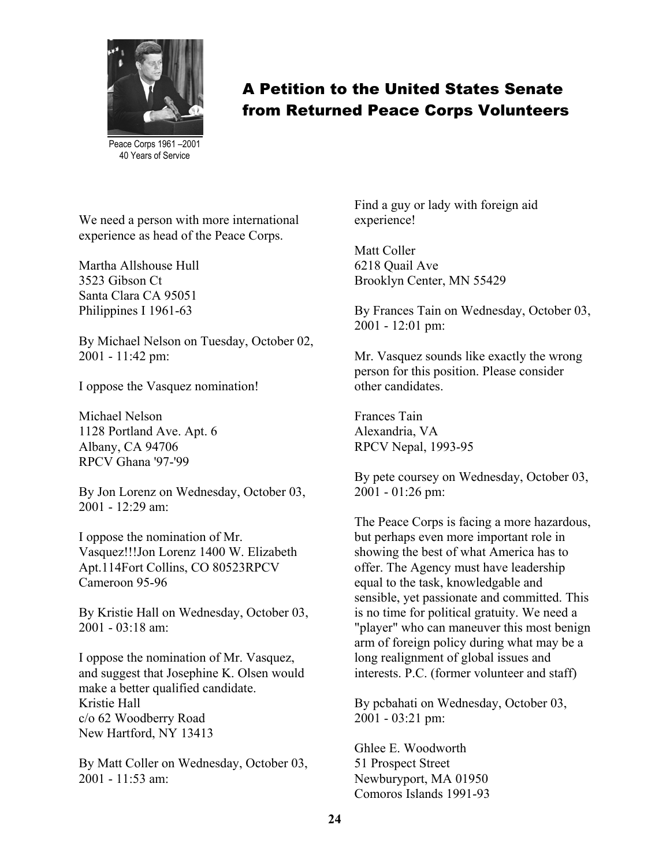

Peace Corps 1961 –2001 40 Years of Service

We need a person with more international experience as head of the Peace Corps.

Martha Allshouse Hull 3523 Gibson Ct Santa Clara CA 95051 Philippines I 1961-63

By Michael Nelson on Tuesday, October 02, 2001 - 11:42 pm:

I oppose the Vasquez nomination!

Michael Nelson 1128 Portland Ave. Apt. 6 Albany, CA 94706 RPCV Ghana '97-'99

By Jon Lorenz on Wednesday, October 03, 2001 - 12:29 am:

I oppose the nomination of Mr. Vasquez!!!Jon Lorenz 1400 W. Elizabeth Apt.114Fort Collins, CO 80523RPCV Cameroon 95-96

By Kristie Hall on Wednesday, October 03, 2001 - 03:18 am:

I oppose the nomination of Mr. Vasquez, and suggest that Josephine K. Olsen would make a better qualified candidate. Kristie Hall c/o 62 Woodberry Road New Hartford, NY 13413

By Matt Coller on Wednesday, October 03, 2001 - 11:53 am:

Find a guy or lady with foreign aid experience!

Matt Coller 6218 Quail Ave Brooklyn Center, MN 55429

By Frances Tain on Wednesday, October 03, 2001 - 12:01 pm:

Mr. Vasquez sounds like exactly the wrong person for this position. Please consider other candidates.

Frances Tain Alexandria, VA RPCV Nepal, 1993-95

By pete coursey on Wednesday, October 03, 2001 - 01:26 pm:

The Peace Corps is facing a more hazardous, but perhaps even more important role in showing the best of what America has to offer. The Agency must have leadership equal to the task, knowledgable and sensible, yet passionate and committed. This is no time for political gratuity. We need a "player" who can maneuver this most benign arm of foreign policy during what may be a long realignment of global issues and interests. P.C. (former volunteer and staff)

By pcbahati on Wednesday, October 03, 2001 - 03:21 pm:

Ghlee E. Woodworth 51 Prospect Street Newburyport, MA 01950 Comoros Islands 1991-93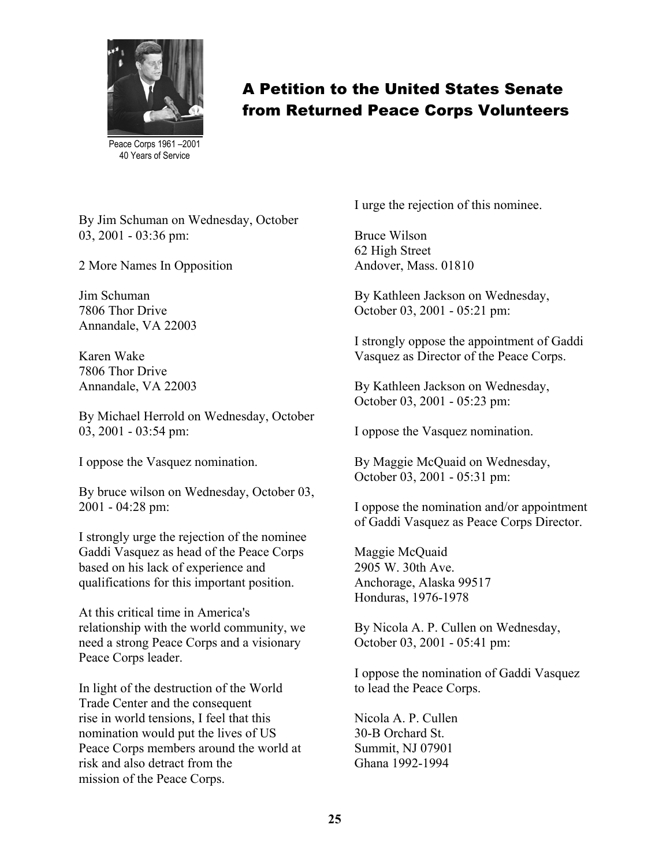

Peace Corps 1961 –2001 40 Years of Service

By Jim Schuman on Wednesday, October 03, 2001 - 03:36 pm:

2 More Names In Opposition

Jim Schuman 7806 Thor Drive Annandale, VA 22003

Karen Wake 7806 Thor Drive Annandale, VA 22003

By Michael Herrold on Wednesday, October 03, 2001 - 03:54 pm:

I oppose the Vasquez nomination.

By bruce wilson on Wednesday, October 03, 2001 - 04:28 pm:

I strongly urge the rejection of the nominee Gaddi Vasquez as head of the Peace Corps based on his lack of experience and qualifications for this important position.

At this critical time in America's relationship with the world community, we need a strong Peace Corps and a visionary Peace Corps leader.

In light of the destruction of the World Trade Center and the consequent rise in world tensions, I feel that this nomination would put the lives of US Peace Corps members around the world at risk and also detract from the mission of the Peace Corps.

I urge the rejection of this nominee.

Bruce Wilson 62 High Street Andover, Mass. 01810

By Kathleen Jackson on Wednesday, October 03, 2001 - 05:21 pm:

I strongly oppose the appointment of Gaddi Vasquez as Director of the Peace Corps.

By Kathleen Jackson on Wednesday, October 03, 2001 - 05:23 pm:

I oppose the Vasquez nomination.

By Maggie McQuaid on Wednesday, October 03, 2001 - 05:31 pm:

I oppose the nomination and/or appointment of Gaddi Vasquez as Peace Corps Director.

Maggie McQuaid 2905 W. 30th Ave. Anchorage, Alaska 99517 Honduras, 1976-1978

By Nicola A. P. Cullen on Wednesday, October 03, 2001 - 05:41 pm:

I oppose the nomination of Gaddi Vasquez to lead the Peace Corps.

Nicola A. P. Cullen 30-B Orchard St. Summit, NJ 07901 Ghana 1992-1994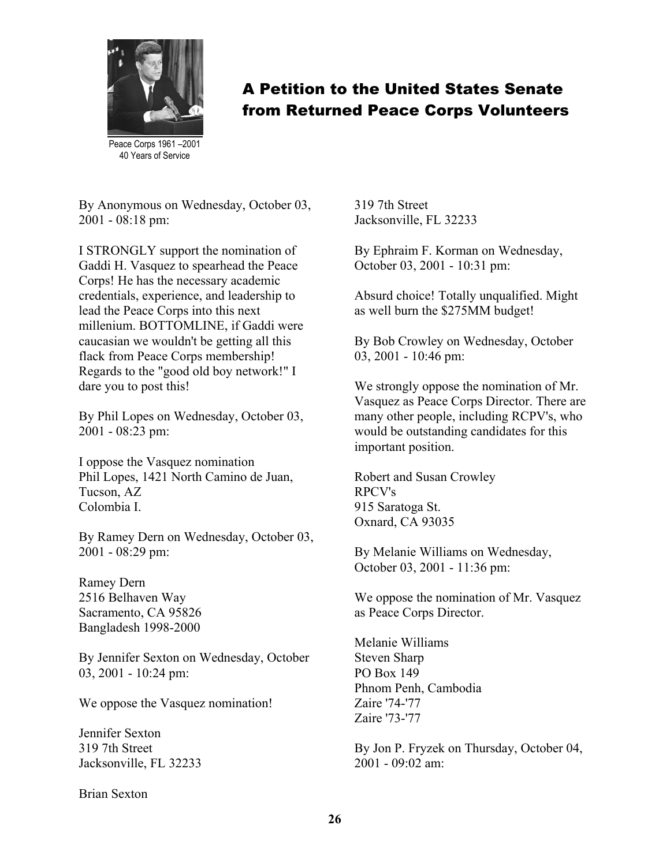

Peace Corps 1961 –2001 40 Years of Service

By Anonymous on Wednesday, October 03, 2001 - 08:18 pm:

I STRONGLY support the nomination of Gaddi H. Vasquez to spearhead the Peace Corps! He has the necessary academic credentials, experience, and leadership to lead the Peace Corps into this next millenium. BOTTOMLINE, if Gaddi were caucasian we wouldn't be getting all this flack from Peace Corps membership! Regards to the "good old boy network!" I dare you to post this!

By Phil Lopes on Wednesday, October 03, 2001 - 08:23 pm:

I oppose the Vasquez nomination Phil Lopes, 1421 North Camino de Juan, Tucson, AZ Colombia I.

By Ramey Dern on Wednesday, October 03, 2001 - 08:29 pm:

Ramey Dern 2516 Belhaven Way Sacramento, CA 95826 Bangladesh 1998-2000

By Jennifer Sexton on Wednesday, October 03, 2001 - 10:24 pm:

We oppose the Vasquez nomination!

Jennifer Sexton 319 7th Street Jacksonville, FL 32233

Brian Sexton

319 7th Street Jacksonville, FL 32233

By Ephraim F. Korman on Wednesday, October 03, 2001 - 10:31 pm:

Absurd choice! Totally unqualified. Might as well burn the \$275MM budget!

By Bob Crowley on Wednesday, October 03, 2001 - 10:46 pm:

We strongly oppose the nomination of Mr. Vasquez as Peace Corps Director. There are many other people, including RCPV's, who would be outstanding candidates for this important position.

Robert and Susan Crowley RPCV's 915 Saratoga St. Oxnard, CA 93035

By Melanie Williams on Wednesday, October 03, 2001 - 11:36 pm:

We oppose the nomination of Mr. Vasquez as Peace Corps Director.

Melanie Williams Steven Sharp PO Box 149 Phnom Penh, Cambodia Zaire '74-'77 Zaire '73-'77

By Jon P. Fryzek on Thursday, October 04, 2001 - 09:02 am: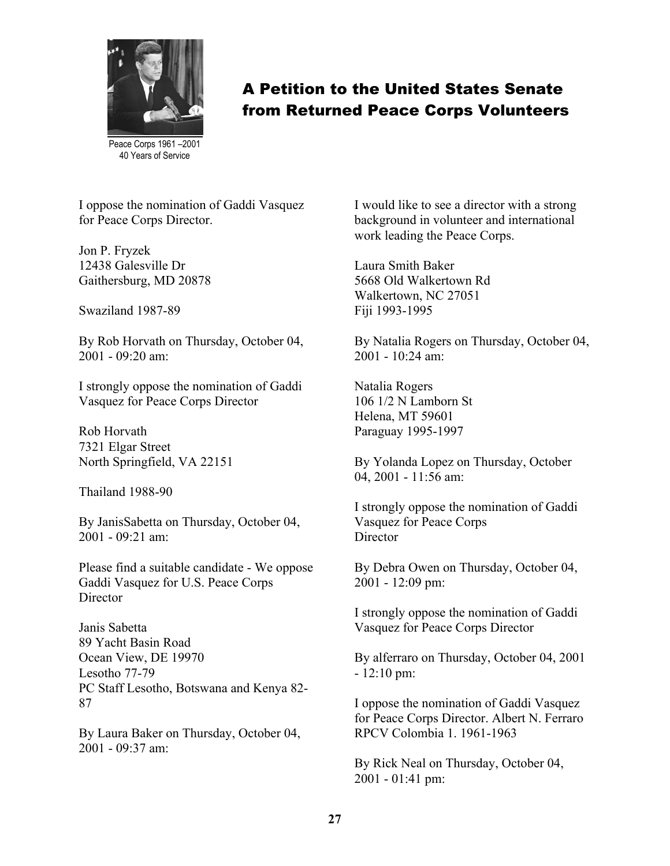

Peace Corps 1961 –2001 40 Years of Service

I oppose the nomination of Gaddi Vasquez for Peace Corps Director.

Jon P. Fryzek 12438 Galesville Dr Gaithersburg, MD 20878

Swaziland 1987-89

By Rob Horvath on Thursday, October 04, 2001 - 09:20 am:

I strongly oppose the nomination of Gaddi Vasquez for Peace Corps Director

Rob Horvath 7321 Elgar Street North Springfield, VA 22151

Thailand 1988-90

By JanisSabetta on Thursday, October 04, 2001 - 09:21 am:

Please find a suitable candidate - We oppose Gaddi Vasquez for U.S. Peace Corps **Director** 

Janis Sabetta 89 Yacht Basin Road Ocean View, DE 19970 Lesotho 77-79 PC Staff Lesotho, Botswana and Kenya 82- 87

By Laura Baker on Thursday, October 04,  $2001 - 09.37$  am

I would like to see a director with a strong background in volunteer and international work leading the Peace Corps.

Laura Smith Baker 5668 Old Walkertown Rd Walkertown, NC 27051 Fiji 1993-1995

By Natalia Rogers on Thursday, October 04, 2001 - 10:24 am:

Natalia Rogers 106 1/2 N Lamborn St Helena, MT 59601 Paraguay 1995-1997

By Yolanda Lopez on Thursday, October 04, 2001 - 11:56 am:

I strongly oppose the nomination of Gaddi Vasquez for Peace Corps **Director** 

By Debra Owen on Thursday, October 04, 2001 - 12:09 pm:

I strongly oppose the nomination of Gaddi Vasquez for Peace Corps Director

By alferraro on Thursday, October 04, 2001 - 12:10 pm:

I oppose the nomination of Gaddi Vasquez for Peace Corps Director. Albert N. Ferraro RPCV Colombia 1. 1961-1963

By Rick Neal on Thursday, October 04, 2001 - 01:41 pm: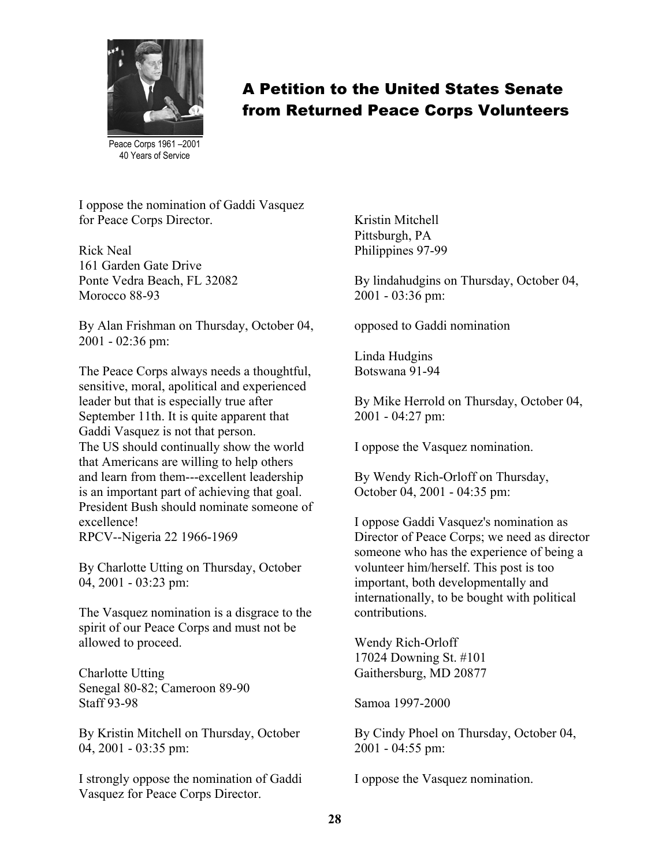

Peace Corps 1961 –2001 40 Years of Service

I oppose the nomination of Gaddi Vasquez for Peace Corps Director.

Rick Neal 161 Garden Gate Drive Ponte Vedra Beach, FL 32082 Morocco 88-93

By Alan Frishman on Thursday, October 04, 2001 - 02:36 pm:

The Peace Corps always needs a thoughtful, sensitive, moral, apolitical and experienced leader but that is especially true after September 11th. It is quite apparent that Gaddi Vasquez is not that person. The US should continually show the world that Americans are willing to help others and learn from them---excellent leadership is an important part of achieving that goal. President Bush should nominate someone of excellence! RPCV--Nigeria 22 1966-1969

By Charlotte Utting on Thursday, October 04, 2001 - 03:23 pm:

The Vasquez nomination is a disgrace to the spirit of our Peace Corps and must not be allowed to proceed.

Charlotte Utting Senegal 80-82; Cameroon 89-90 Staff 93-98

By Kristin Mitchell on Thursday, October 04, 2001 - 03:35 pm:

I strongly oppose the nomination of Gaddi Vasquez for Peace Corps Director.

Kristin Mitchell Pittsburgh, PA Philippines 97-99

By lindahudgins on Thursday, October 04, 2001 - 03:36 pm:

opposed to Gaddi nomination

Linda Hudgins Botswana 91-94

By Mike Herrold on Thursday, October 04, 2001 - 04:27 pm:

I oppose the Vasquez nomination.

By Wendy Rich-Orloff on Thursday, October 04, 2001 - 04:35 pm:

I oppose Gaddi Vasquez's nomination as Director of Peace Corps; we need as director someone who has the experience of being a volunteer him/herself. This post is too important, both developmentally and internationally, to be bought with political contributions.

Wendy Rich-Orloff 17024 Downing St. #101 Gaithersburg, MD 20877

Samoa 1997-2000

By Cindy Phoel on Thursday, October 04, 2001 - 04:55 pm:

I oppose the Vasquez nomination.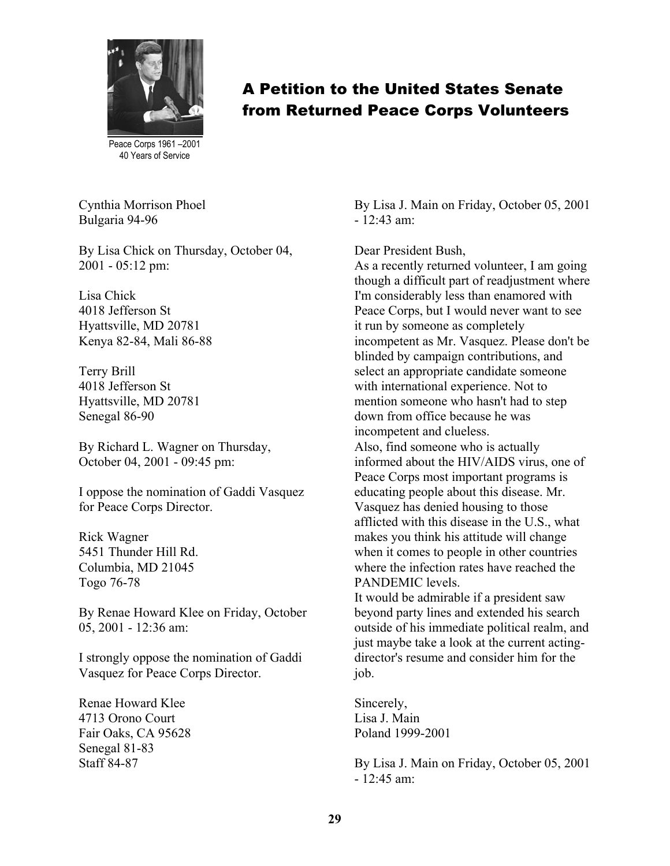

Peace Corps 1961 –2001 40 Years of Service

Cynthia Morrison Phoel Bulgaria 94-96

By Lisa Chick on Thursday, October 04, 2001 - 05:12 pm:

Lisa Chick 4018 Jefferson St Hyattsville, MD 20781 Kenya 82-84, Mali 86-88

Terry Brill 4018 Jefferson St Hyattsville, MD 20781 Senegal 86-90

By Richard L. Wagner on Thursday, October 04, 2001 - 09:45 pm:

I oppose the nomination of Gaddi Vasquez for Peace Corps Director.

Rick Wagner 5451 Thunder Hill Rd. Columbia, MD 21045 Togo 76-78

By Renae Howard Klee on Friday, October 05, 2001 - 12:36 am:

I strongly oppose the nomination of Gaddi Vasquez for Peace Corps Director.

Renae Howard Klee 4713 Orono Court Fair Oaks, CA 95628 Senegal 81-83 Staff 84-87

By Lisa J. Main on Friday, October 05, 2001  $-12.43$  am<sup>-</sup>

Dear President Bush,

As a recently returned volunteer, I am going though a difficult part of readjustment where I'm considerably less than enamored with Peace Corps, but I would never want to see it run by someone as completely incompetent as Mr. Vasquez. Please don't be blinded by campaign contributions, and select an appropriate candidate someone with international experience. Not to mention someone who hasn't had to step down from office because he was incompetent and clueless. Also, find someone who is actually informed about the HIV/AIDS virus, one of Peace Corps most important programs is educating people about this disease. Mr. Vasquez has denied housing to those afflicted with this disease in the U.S., what makes you think his attitude will change when it comes to people in other countries where the infection rates have reached the PANDEMIC levels.

It would be admirable if a president saw beyond party lines and extended his search outside of his immediate political realm, and just maybe take a look at the current actingdirector's resume and consider him for the job.

Sincerely, Lisa J. Main Poland 1999-2001

By Lisa J. Main on Friday, October 05, 2001 - 12:45 am: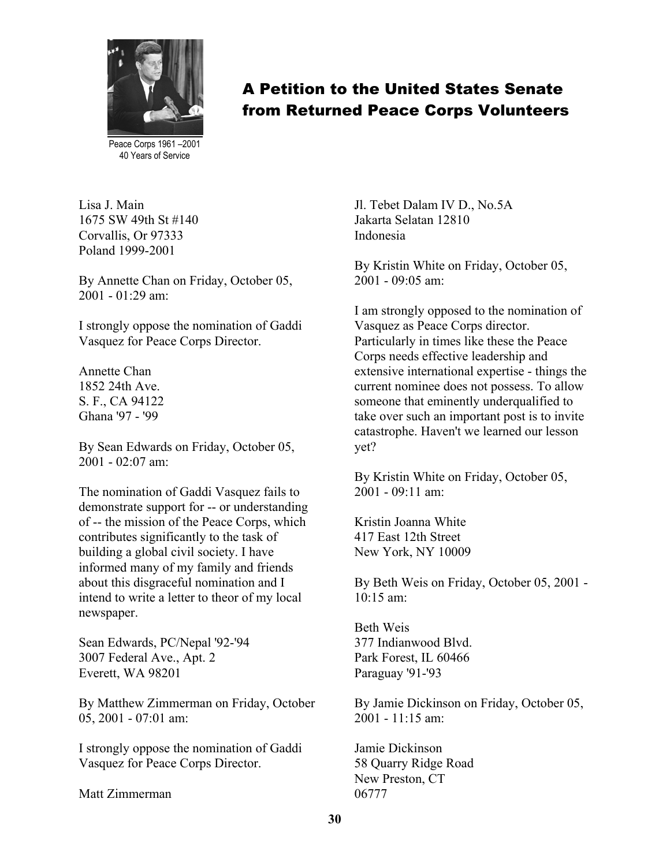

A Petition to the United States Senate from Returned Peace Corps Volunteers

Peace Corps 1961 –2001 40 Years of Service

Lisa J. Main 1675 SW 49th St #140 Corvallis, Or 97333 Poland 1999-2001

By Annette Chan on Friday, October 05, 2001 - 01:29 am:

I strongly oppose the nomination of Gaddi Vasquez for Peace Corps Director.

Annette Chan 1852 24th Ave. S. F., CA 94122 Ghana '97 - '99

By Sean Edwards on Friday, October 05, 2001 - 02:07 am:

The nomination of Gaddi Vasquez fails to demonstrate support for -- or understanding of -- the mission of the Peace Corps, which contributes significantly to the task of building a global civil society. I have informed many of my family and friends about this disgraceful nomination and I intend to write a letter to theor of my local newspaper.

Sean Edwards, PC/Nepal '92-'94 3007 Federal Ave., Apt. 2 Everett, WA 98201

By Matthew Zimmerman on Friday, October 05, 2001 - 07:01 am:

I strongly oppose the nomination of Gaddi Vasquez for Peace Corps Director.

Matt Zimmerman

Jl. Tebet Dalam IV D., No.5A Jakarta Selatan 12810 Indonesia

By Kristin White on Friday, October 05,  $2001 - 09.05$  am:

I am strongly opposed to the nomination of Vasquez as Peace Corps director. Particularly in times like these the Peace Corps needs effective leadership and extensive international expertise - things the current nominee does not possess. To allow someone that eminently underqualified to take over such an important post is to invite catastrophe. Haven't we learned our lesson yet?

By Kristin White on Friday, October 05,  $2001 - 09.11$  am<sup>-</sup>

Kristin Joanna White 417 East 12th Street New York, NY 10009

By Beth Weis on Friday, October 05, 2001 -  $10.15$  am<sup>-</sup>

Beth Weis 377 Indianwood Blvd. Park Forest, IL 60466 Paraguay '91-'93

By Jamie Dickinson on Friday, October 05,  $2001 - 11.15$  am:

Jamie Dickinson 58 Quarry Ridge Road New Preston, CT 06777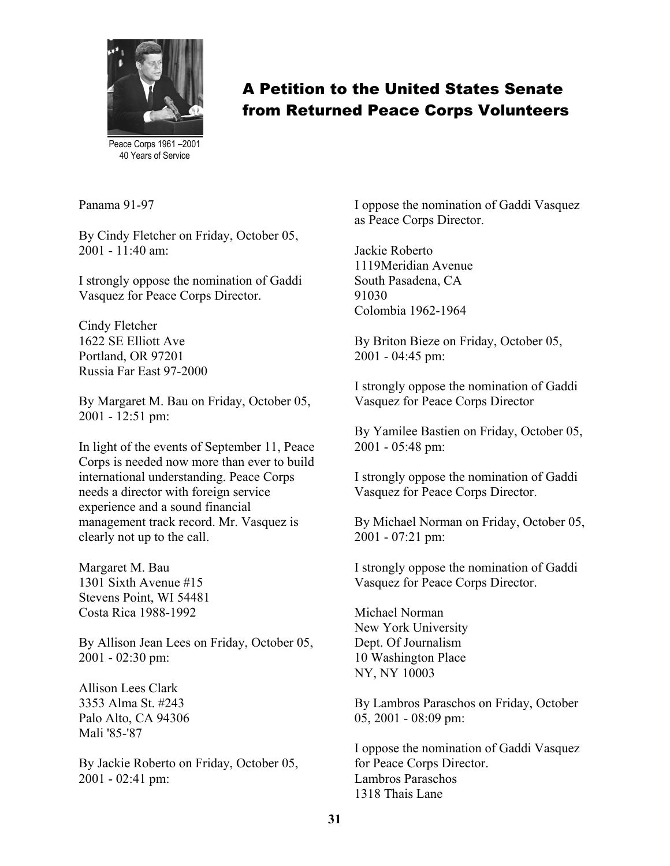

A Petition to the United States Senate from Returned Peace Corps Volunteers

Peace Corps 1961 –2001 40 Years of Service

Panama 91-97

By Cindy Fletcher on Friday, October 05, 2001 - 11:40 am:

I strongly oppose the nomination of Gaddi Vasquez for Peace Corps Director.

Cindy Fletcher 1622 SE Elliott Ave Portland, OR 97201 Russia Far East 97-2000

By Margaret M. Bau on Friday, October 05, 2001 - 12:51 pm:

In light of the events of September 11, Peace Corps is needed now more than ever to build international understanding. Peace Corps needs a director with foreign service experience and a sound financial management track record. Mr. Vasquez is clearly not up to the call.

Margaret M. Bau 1301 Sixth Avenue #15 Stevens Point, WI 54481 Costa Rica 1988-1992

By Allison Jean Lees on Friday, October 05, 2001 - 02:30 pm:

Allison Lees Clark 3353 Alma St. #243 Palo Alto, CA 94306 Mali '85-'87

By Jackie Roberto on Friday, October 05, 2001 - 02:41 pm:

I oppose the nomination of Gaddi Vasquez as Peace Corps Director.

Jackie Roberto 1119Meridian Avenue South Pasadena, CA 91030 Colombia 1962-1964

By Briton Bieze on Friday, October 05, 2001 - 04:45 pm:

I strongly oppose the nomination of Gaddi Vasquez for Peace Corps Director

By Yamilee Bastien on Friday, October 05, 2001 - 05:48 pm:

I strongly oppose the nomination of Gaddi Vasquez for Peace Corps Director.

By Michael Norman on Friday, October 05, 2001 - 07:21 pm:

I strongly oppose the nomination of Gaddi Vasquez for Peace Corps Director.

Michael Norman New York University Dept. Of Journalism 10 Washington Place NY, NY 10003

By Lambros Paraschos on Friday, October 05, 2001 - 08:09 pm:

I oppose the nomination of Gaddi Vasquez for Peace Corps Director. Lambros Paraschos 1318 Thais Lane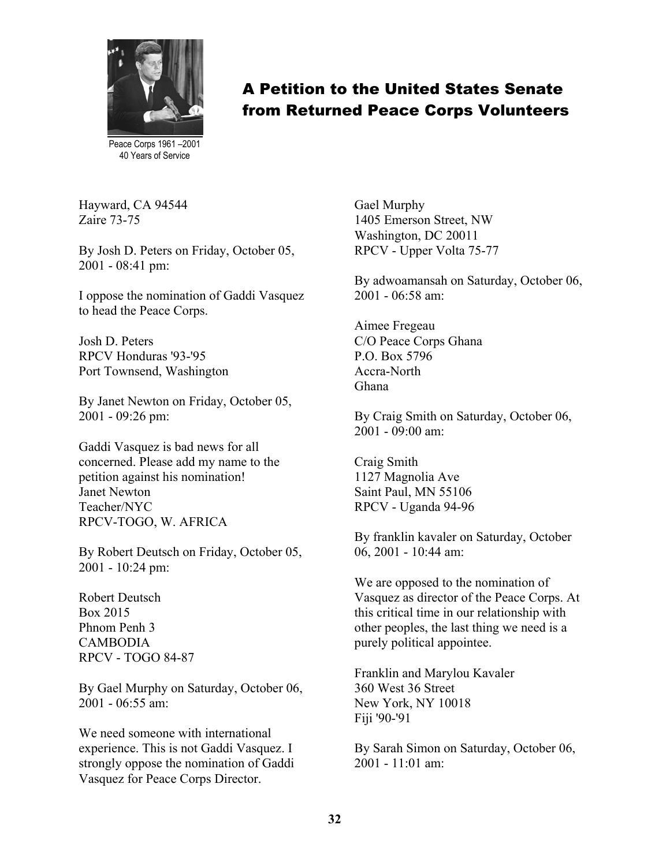

Peace Corps 1961 –2001 40 Years of Service

Hayward, CA 94544 Zaire 73-75

By Josh D. Peters on Friday, October 05, 2001 - 08:41 pm:

I oppose the nomination of Gaddi Vasquez to head the Peace Corps.

Josh D. Peters RPCV Honduras '93-'95 Port Townsend, Washington

By Janet Newton on Friday, October 05, 2001 - 09:26 pm:

Gaddi Vasquez is bad news for all concerned. Please add my name to the petition against his nomination! Janet Newton Teacher/NYC RPCV-TOGO, W. AFRICA

By Robert Deutsch on Friday, October 05, 2001 - 10:24 pm:

Robert Deutsch Box 2015 Phnom Penh 3 CAMBODIA RPCV - TOGO 84-87

By Gael Murphy on Saturday, October 06, 2001 - 06:55 am:

We need someone with international experience. This is not Gaddi Vasquez. I strongly oppose the nomination of Gaddi Vasquez for Peace Corps Director.

Gael Murphy 1405 Emerson Street, NW Washington, DC 20011 RPCV - Upper Volta 75-77

By adwoamansah on Saturday, October 06, 2001 - 06:58 am:

Aimee Fregeau C/O Peace Corps Ghana P.O. Box 5796 Accra-North Ghana

By Craig Smith on Saturday, October 06,  $2001 - 09.00$  am:

Craig Smith 1127 Magnolia Ave Saint Paul, MN 55106 RPCV - Uganda 94-96

By franklin kavaler on Saturday, October 06, 2001 - 10:44 am:

We are opposed to the nomination of Vasquez as director of the Peace Corps. At this critical time in our relationship with other peoples, the last thing we need is a purely political appointee.

Franklin and Marylou Kavaler 360 West 36 Street New York, NY 10018 Fiji '90-'91

By Sarah Simon on Saturday, October 06, 2001 - 11:01 am: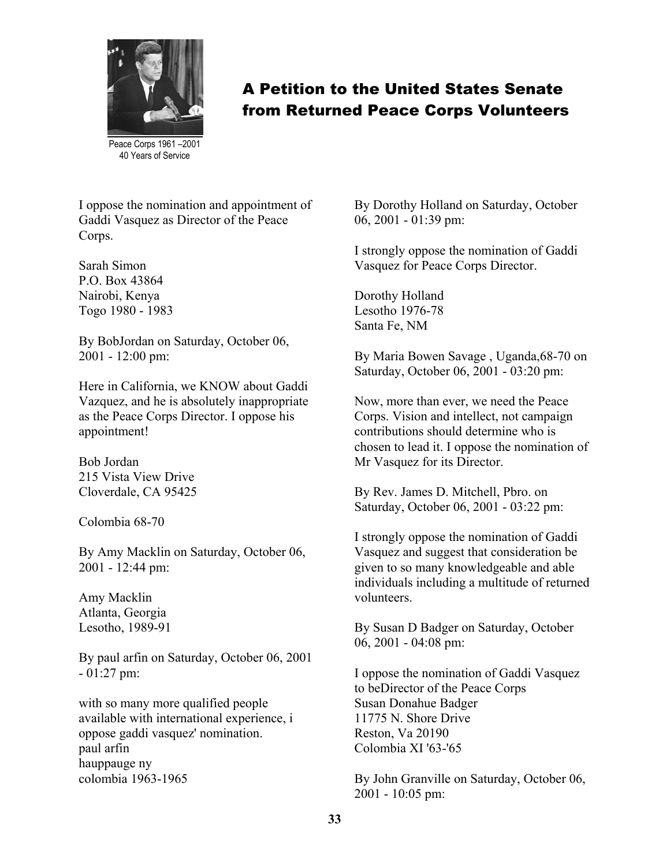

Peace Corps 1961 –2001 40 Years of Service

I oppose the nomination and appointment of Gaddi Vasquez as Director of the Peace Corps.

Sarah Simon P.O. Box 43864 Nairobi, Kenya Togo 1980 - 1983

By BobJordan on Saturday, October 06, 2001 - 12:00 pm:

Here in California, we KNOW about Gaddi Vazquez, and he is absolutely inappropriate as the Peace Corps Director. I oppose his appointment!

Bob Jordan 215 Vista View Drive Cloverdale, CA 95425

Colombia 68-70

By Amy Macklin on Saturday, October 06, 2001 - 12:44 pm:

Amy Macklin Atlanta, Georgia Lesotho, 1989-91

By paul arfin on Saturday, October 06, 2001 - 01:27 pm:

with so many more qualified people available with international experience, i oppose gaddi vasquez' nomination. paul arfin hauppauge ny colombia 1963-1965

By Dorothy Holland on Saturday, October 06, 2001 - 01:39 pm:

I strongly oppose the nomination of Gaddi Vasquez for Peace Corps Director.

Dorothy Holland Lesotho 1976-78 Santa Fe, NM

By Maria Bowen Savage , Uganda,68-70 on Saturday, October 06, 2001 - 03:20 pm:

Now, more than ever, we need the Peace Corps. Vision and intellect, not campaign contributions should determine who is chosen to lead it. I oppose the nomination of Mr Vasquez for its Director.

By Rev. James D. Mitchell, Pbro. on Saturday, October 06, 2001 - 03:22 pm:

I strongly oppose the nomination of Gaddi Vasquez and suggest that consideration be given to so many knowledgeable and able individuals including a multitude of returned volunteers.

By Susan D Badger on Saturday, October 06, 2001 - 04:08 pm:

I oppose the nomination of Gaddi Vasquez to beDirector of the Peace Corps Susan Donahue Badger 11775 N. Shore Drive Reston, Va 20190 Colombia XI '63-'65

By John Granville on Saturday, October 06, 2001 - 10:05 pm: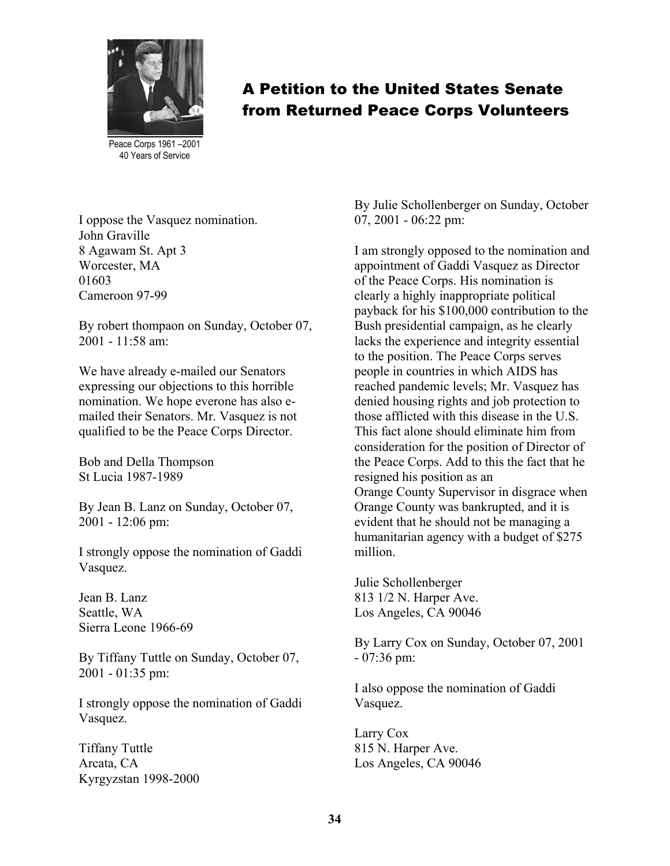

Peace Corps 1961 –2001 40 Years of Service

I oppose the Vasquez nomination. John Graville 8 Agawam St. Apt 3 Worcester, MA 01603 Cameroon 97-99

By robert thompaon on Sunday, October 07,  $2001 - 11.58$  am:

We have already e-mailed our Senators expressing our objections to this horrible nomination. We hope everone has also emailed their Senators. Mr. Vasquez is not qualified to be the Peace Corps Director.

Bob and Della Thompson St Lucia 1987-1989

By Jean B. Lanz on Sunday, October 07, 2001 - 12:06 pm:

I strongly oppose the nomination of Gaddi Vasquez.

Jean B. Lanz Seattle, WA Sierra Leone 1966-69

By Tiffany Tuttle on Sunday, October 07, 2001 - 01:35 pm:

I strongly oppose the nomination of Gaddi Vasquez.

Tiffany Tuttle Arcata, CA Kyrgyzstan 1998-2000

By Julie Schollenberger on Sunday, October 07, 2001 - 06:22 pm:

I am strongly opposed to the nomination and appointment of Gaddi Vasquez as Director of the Peace Corps. His nomination is clearly a highly inappropriate political payback for his \$100,000 contribution to the Bush presidential campaign, as he clearly lacks the experience and integrity essential to the position. The Peace Corps serves people in countries in which AIDS has reached pandemic levels; Mr. Vasquez has denied housing rights and job protection to those afflicted with this disease in the U.S. This fact alone should eliminate him from consideration for the position of Director of the Peace Corps. Add to this the fact that he resigned his position as an Orange County Supervisor in disgrace when Orange County was bankrupted, and it is evident that he should not be managing a humanitarian agency with a budget of \$275 million.

Julie Schollenberger 813 1/2 N. Harper Ave. Los Angeles, CA 90046

By Larry Cox on Sunday, October 07, 2001 - 07:36 pm:

I also oppose the nomination of Gaddi Vasquez.

Larry Cox 815 N. Harper Ave. Los Angeles, CA 90046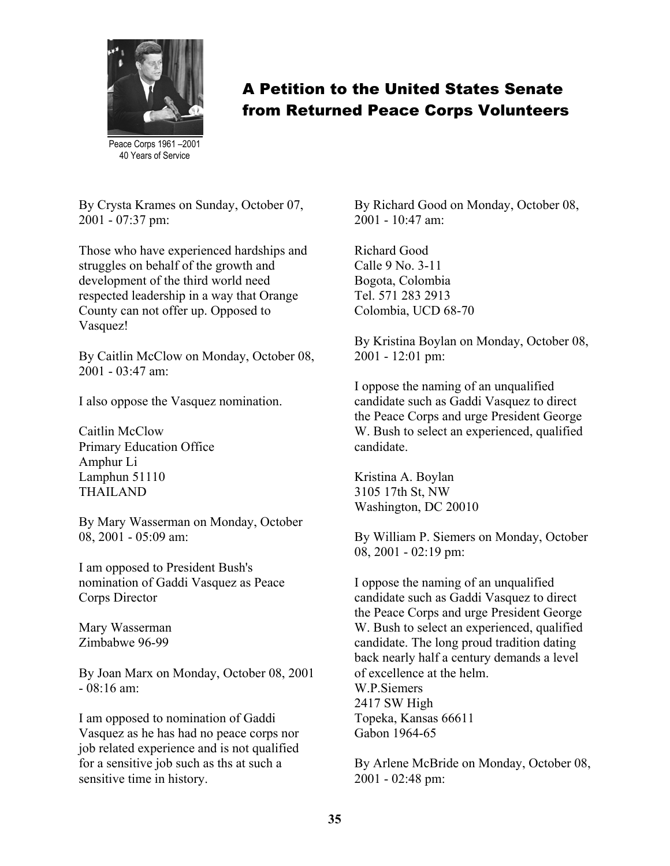

Peace Corps 1961 –2001 40 Years of Service

By Crysta Krames on Sunday, October 07, 2001 - 07:37 pm:

Those who have experienced hardships and struggles on behalf of the growth and development of the third world need respected leadership in a way that Orange County can not offer up. Opposed to Vasquez!

By Caitlin McClow on Monday, October 08, 2001 - 03:47 am:

I also oppose the Vasquez nomination.

Caitlin McClow Primary Education Office Amphur Li Lamphun 51110 THAILAND

By Mary Wasserman on Monday, October 08, 2001 - 05:09 am:

I am opposed to President Bush's nomination of Gaddi Vasquez as Peace Corps Director

Mary Wasserman Zimbabwe 96-99

By Joan Marx on Monday, October 08, 2001  $-08.16$  am:

I am opposed to nomination of Gaddi Vasquez as he has had no peace corps nor job related experience and is not qualified for a sensitive job such as ths at such a sensitive time in history.

By Richard Good on Monday, October 08,  $2001 - 10.47$  am:

Richard Good Calle 9 No. 3-11 Bogota, Colombia Tel. 571 283 2913 Colombia, UCD 68-70

By Kristina Boylan on Monday, October 08, 2001 - 12:01 pm:

I oppose the naming of an unqualified candidate such as Gaddi Vasquez to direct the Peace Corps and urge President George W. Bush to select an experienced, qualified candidate.

Kristina A. Boylan 3105 17th St, NW Washington, DC 20010

By William P. Siemers on Monday, October 08, 2001 - 02:19 pm:

I oppose the naming of an unqualified candidate such as Gaddi Vasquez to direct the Peace Corps and urge President George W. Bush to select an experienced, qualified candidate. The long proud tradition dating back nearly half a century demands a level of excellence at the helm. W.P. Siemers 2417 SW High Topeka, Kansas 66611 Gabon 1964-65

By Arlene McBride on Monday, October 08, 2001 - 02:48 pm: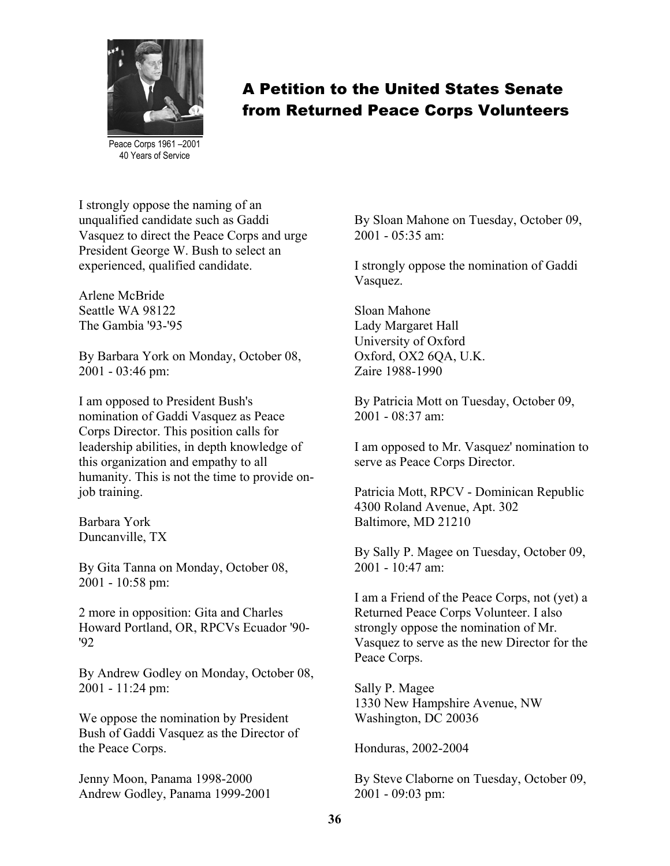

Peace Corps 1961 –2001 40 Years of Service

I strongly oppose the naming of an unqualified candidate such as Gaddi Vasquez to direct the Peace Corps and urge President George W. Bush to select an experienced, qualified candidate.

Arlene McBride Seattle WA 98122 The Gambia '93-'95

By Barbara York on Monday, October 08, 2001 - 03:46 pm:

I am opposed to President Bush's nomination of Gaddi Vasquez as Peace Corps Director. This position calls for leadership abilities, in depth knowledge of this organization and empathy to all humanity. This is not the time to provide onjob training.

Barbara York Duncanville, TX

By Gita Tanna on Monday, October 08, 2001 - 10:58 pm:

2 more in opposition: Gita and Charles Howard Portland, OR, RPCVs Ecuador '90- '92

By Andrew Godley on Monday, October 08, 2001 - 11:24 pm:

We oppose the nomination by President Bush of Gaddi Vasquez as the Director of the Peace Corps.

Jenny Moon, Panama 1998-2000 Andrew Godley, Panama 1999-2001 By Sloan Mahone on Tuesday, October 09,  $2001 - 05.35$  am:

I strongly oppose the nomination of Gaddi Vasquez.

Sloan Mahone Lady Margaret Hall University of Oxford Oxford, OX2 6QA, U.K. Zaire 1988-1990

By Patricia Mott on Tuesday, October 09, 2001 - 08:37 am:

I am opposed to Mr. Vasquez' nomination to serve as Peace Corps Director.

Patricia Mott, RPCV - Dominican Republic 4300 Roland Avenue, Apt. 302 Baltimore, MD 21210

By Sally P. Magee on Tuesday, October 09,  $2001 - 10.47$  am:

I am a Friend of the Peace Corps, not (yet) a Returned Peace Corps Volunteer. I also strongly oppose the nomination of Mr. Vasquez to serve as the new Director for the Peace Corps.

Sally P. Magee 1330 New Hampshire Avenue, NW Washington, DC 20036

Honduras, 2002-2004

By Steve Claborne on Tuesday, October 09, 2001 - 09:03 pm: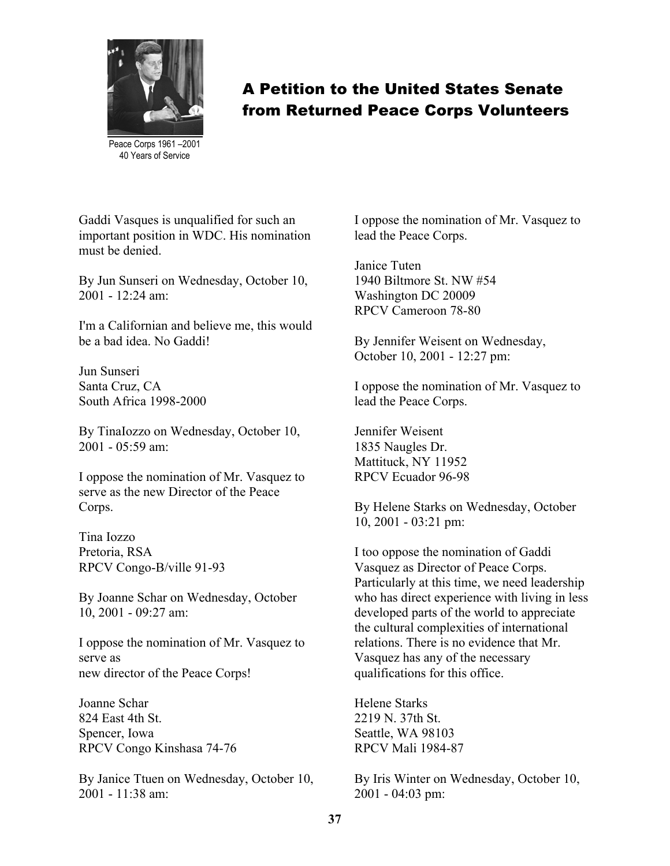

Peace Corps 1961 –2001 40 Years of Service

Gaddi Vasques is unqualified for such an important position in WDC. His nomination must be denied.

By Jun Sunseri on Wednesday, October 10, 2001 - 12:24 am:

I'm a Californian and believe me, this would be a bad idea. No Gaddi!

Jun Sunseri Santa Cruz, CA South Africa 1998-2000

By TinaIozzo on Wednesday, October 10, 2001 - 05:59 am:

I oppose the nomination of Mr. Vasquez to serve as the new Director of the Peace Corps.

Tina Iozzo Pretoria, RSA RPCV Congo-B/ville 91-93

By Joanne Schar on Wednesday, October 10, 2001 - 09:27 am:

I oppose the nomination of Mr. Vasquez to serve as new director of the Peace Corps!

Joanne Schar 824 East 4th St. Spencer, Iowa RPCV Congo Kinshasa 74-76

By Janice Ttuen on Wednesday, October 10, 2001 - 11:38 am:

I oppose the nomination of Mr. Vasquez to lead the Peace Corps.

Janice Tuten 1940 Biltmore St. NW #54 Washington DC 20009 RPCV Cameroon 78-80

By Jennifer Weisent on Wednesday, October 10, 2001 - 12:27 pm:

I oppose the nomination of Mr. Vasquez to lead the Peace Corps.

Jennifer Weisent 1835 Naugles Dr. Mattituck, NY 11952 RPCV Ecuador 96-98

By Helene Starks on Wednesday, October 10, 2001 - 03:21 pm:

I too oppose the nomination of Gaddi Vasquez as Director of Peace Corps. Particularly at this time, we need leadership who has direct experience with living in less developed parts of the world to appreciate the cultural complexities of international relations. There is no evidence that Mr. Vasquez has any of the necessary qualifications for this office.

Helene Starks 2219 N. 37th St. Seattle, WA 98103 RPCV Mali 1984-87

By Iris Winter on Wednesday, October 10, 2001 - 04:03 pm: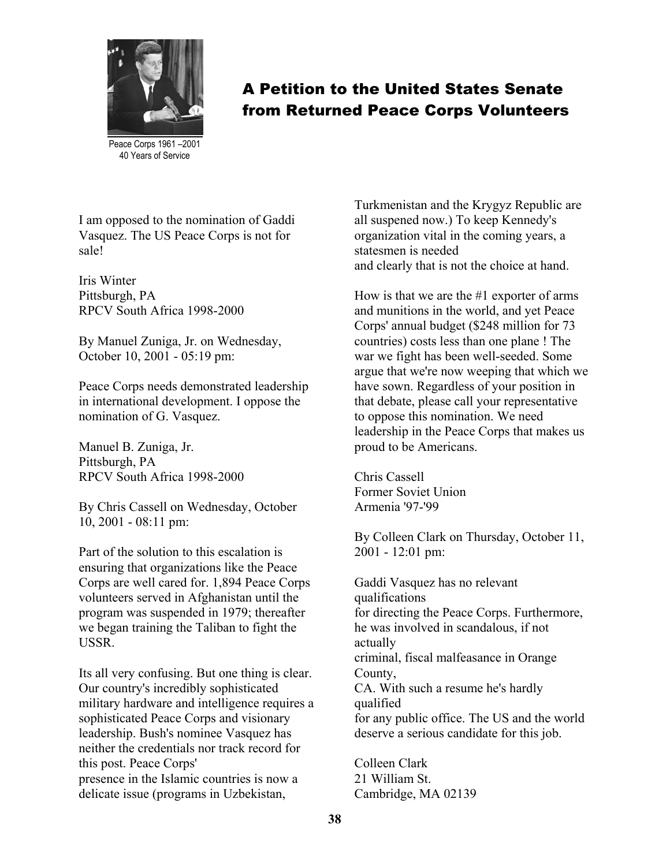

A Petition to the United States Senate from Returned Peace Corps Volunteers

Peace Corps 1961 –2001 40 Years of Service

I am opposed to the nomination of Gaddi Vasquez. The US Peace Corps is not for sale!

Iris Winter Pittsburgh, PA RPCV South Africa 1998-2000

By Manuel Zuniga, Jr. on Wednesday, October 10, 2001 - 05:19 pm:

Peace Corps needs demonstrated leadership in international development. I oppose the nomination of G. Vasquez.

Manuel B. Zuniga, Jr. Pittsburgh, PA RPCV South Africa 1998-2000

By Chris Cassell on Wednesday, October 10, 2001 - 08:11 pm:

Part of the solution to this escalation is ensuring that organizations like the Peace Corps are well cared for. 1,894 Peace Corps volunteers served in Afghanistan until the program was suspended in 1979; thereafter we began training the Taliban to fight the USSR.

Its all very confusing. But one thing is clear. Our country's incredibly sophisticated military hardware and intelligence requires a sophisticated Peace Corps and visionary leadership. Bush's nominee Vasquez has neither the credentials nor track record for this post. Peace Corps' presence in the Islamic countries is now a delicate issue (programs in Uzbekistan,

Turkmenistan and the Krygyz Republic are all suspened now.) To keep Kennedy's organization vital in the coming years, a statesmen is needed and clearly that is not the choice at hand.

How is that we are the #1 exporter of arms and munitions in the world, and yet Peace Corps' annual budget (\$248 million for 73 countries) costs less than one plane ! The war we fight has been well-seeded. Some argue that we're now weeping that which we have sown. Regardless of your position in that debate, please call your representative to oppose this nomination. We need leadership in the Peace Corps that makes us proud to be Americans.

Chris Cassell Former Soviet Union Armenia '97-'99

By Colleen Clark on Thursday, October 11, 2001 - 12:01 pm:

Gaddi Vasquez has no relevant qualifications for directing the Peace Corps. Furthermore, he was involved in scandalous, if not actually criminal, fiscal malfeasance in Orange County, CA. With such a resume he's hardly qualified for any public office. The US and the world deserve a serious candidate for this job.

Colleen Clark 21 William St. Cambridge, MA 02139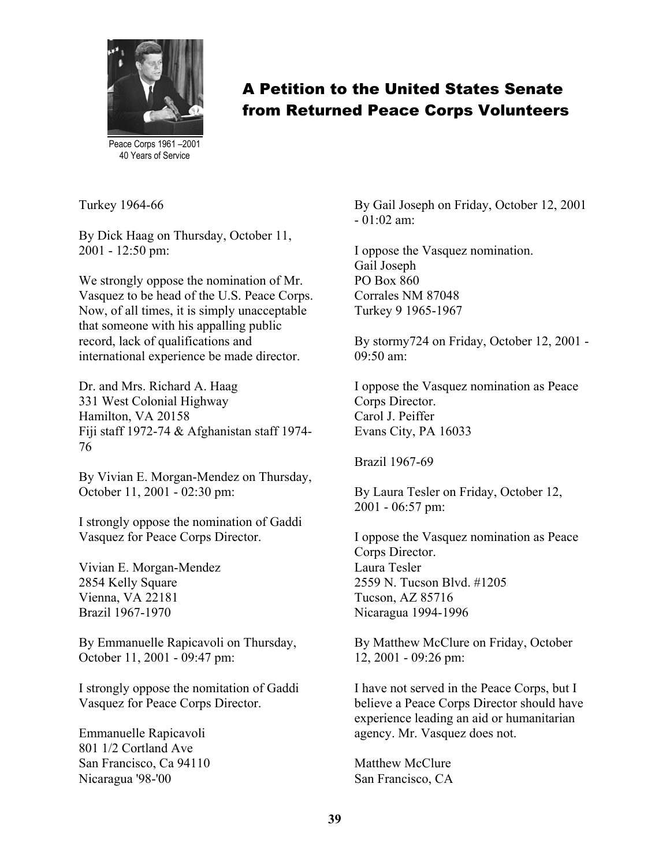

Peace Corps 1961 –2001 40 Years of Service

Turkey 1964-66

By Dick Haag on Thursday, October 11, 2001 - 12:50 pm:

We strongly oppose the nomination of Mr. Vasquez to be head of the U.S. Peace Corps. Now, of all times, it is simply unacceptable that someone with his appalling public record, lack of qualifications and international experience be made director.

Dr. and Mrs. Richard A. Haag 331 West Colonial Highway Hamilton, VA 20158 Fiji staff 1972-74 & Afghanistan staff 1974- 76

By Vivian E. Morgan-Mendez on Thursday, October 11, 2001 - 02:30 pm:

I strongly oppose the nomination of Gaddi Vasquez for Peace Corps Director.

Vivian E. Morgan-Mendez 2854 Kelly Square Vienna, VA 22181 Brazil 1967-1970

By Emmanuelle Rapicavoli on Thursday, October 11, 2001 - 09:47 pm:

I strongly oppose the nomitation of Gaddi Vasquez for Peace Corps Director.

Emmanuelle Rapicavoli 801 1/2 Cortland Ave San Francisco, Ca 94110 Nicaragua '98-'00

By Gail Joseph on Friday, October 12, 2001  $-01.02$  am<sup>-</sup>

I oppose the Vasquez nomination. Gail Joseph PO Box 860 Corrales NM 87048 Turkey 9 1965-1967

By stormy724 on Friday, October 12, 2001 - 09:50 am:

I oppose the Vasquez nomination as Peace Corps Director. Carol J. Peiffer Evans City, PA 16033

Brazil 1967-69

By Laura Tesler on Friday, October 12, 2001 - 06:57 pm:

I oppose the Vasquez nomination as Peace Corps Director. Laura Tesler 2559 N. Tucson Blvd. #1205 Tucson, AZ 85716 Nicaragua 1994-1996

By Matthew McClure on Friday, October 12, 2001 - 09:26 pm:

I have not served in the Peace Corps, but I believe a Peace Corps Director should have experience leading an aid or humanitarian agency. Mr. Vasquez does not.

Matthew McClure San Francisco, CA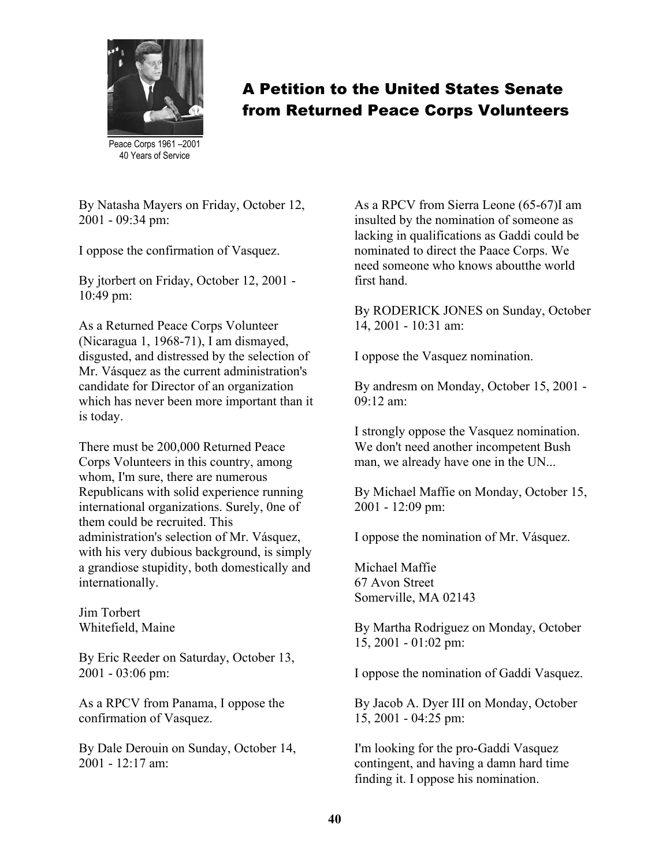

A Petition to the United States Senate from Returned Peace Corps Volunteers

Peace Corps 1961 –2001 40 Years of Service

By Natasha Mayers on Friday, October 12, 2001 - 09:34 pm:

I oppose the confirmation of Vasquez.

By jtorbert on Friday, October 12, 2001 - 10:49 pm:

As a Returned Peace Corps Volunteer (Nicaragua 1, 1968-71), I am dismayed, disgusted, and distressed by the selection of Mr. Vásquez as the current administration's candidate for Director of an organization which has never been more important than it is today.

There must be 200,000 Returned Peace Corps Volunteers in this country, among whom, I'm sure, there are numerous Republicans with solid experience running international organizations. Surely, 0ne of them could be recruited. This administration's selection of Mr. Vásquez, with his very dubious background, is simply a grandiose stupidity, both domestically and internationally.

Jim Torbert Whitefield, Maine

By Eric Reeder on Saturday, October 13, 2001 - 03:06 pm:

As a RPCV from Panama, I oppose the confirmation of Vasquez.

By Dale Derouin on Sunday, October 14,  $2001 - 12.17$  am:

As a RPCV from Sierra Leone (65-67)I am insulted by the nomination of someone as lacking in qualifications as Gaddi could be nominated to direct the Paace Corps. We need someone who knows aboutthe world first hand.

By RODERICK JONES on Sunday, October 14, 2001 - 10:31 am:

I oppose the Vasquez nomination.

By andresm on Monday, October 15, 2001 - 09:12 am:

I strongly oppose the Vasquez nomination. We don't need another incompetent Bush man, we already have one in the UN...

By Michael Maffie on Monday, October 15, 2001 - 12:09 pm:

I oppose the nomination of Mr. Vásquez.

Michael Maffie 67 Avon Street Somerville, MA 02143

By Martha Rodriguez on Monday, October 15, 2001 - 01:02 pm:

I oppose the nomination of Gaddi Vasquez.

By Jacob A. Dyer III on Monday, October 15, 2001 - 04:25 pm:

I'm looking for the pro-Gaddi Vasquez contingent, and having a damn hard time finding it. I oppose his nomination.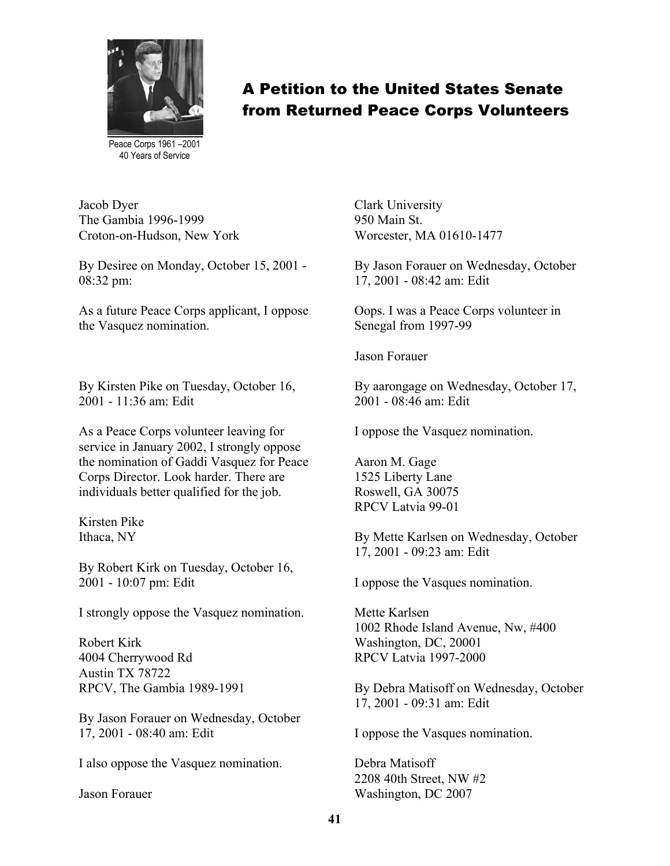

Peace Corps 1961 –2001 40 Years of Service

Jacob Dyer The Gambia 1996-1999 Croton-on-Hudson, New York

By Desiree on Monday, October 15, 2001 - 08:32 pm:

As a future Peace Corps applicant, I oppose the Vasquez nomination.

By Kirsten Pike on Tuesday, October 16, 2001 - 11:36 am: Edit

As a Peace Corps volunteer leaving for service in January 2002, I strongly oppose the nomination of Gaddi Vasquez for Peace Corps Director. Look harder. There are individuals better qualified for the job.

Kirsten Pike Ithaca, NY

By Robert Kirk on Tuesday, October 16, 2001 - 10:07 pm: Edit

I strongly oppose the Vasquez nomination.

Robert Kirk 4004 Cherrywood Rd Austin TX 78722 RPCV, The Gambia 1989-1991

By Jason Forauer on Wednesday, October 17, 2001 - 08:40 am: Edit

I also oppose the Vasquez nomination.

Jason Forauer

Worcester, MA 01610-1477 Clark University 950 Main St.

By Jason Forauer on Wednesday, October 17, 2001 - 08:42 am: Edit

Oops. I was a Peace Corps volunteer in Senegal from 1997-99

Jason Forauer

By aarongage on Wednesday, October 17, 2001 - 08:46 am: Edit

I oppose the Vasquez nomination.

Aaron M. Gage 1525 Liberty Lane Roswell, GA 30075 RPCV Latvia 99-01

By Mette Karlsen on Wednesday, October 17, 2001 - 09:23 am: Edit

I oppose the Vasques nomination.

Mette Karlsen 1002 Rhode Island Avenue, Nw, #400 Washington, DC, 20001 RPCV Latvia 1997-2000

By Debra Matisoff on Wednesday, October 17, 2001 - 09:31 am: Edit

I oppose the Vasques nomination.

Debra Matisoff 2208 40th Street, NW #2 Washington, DC 2007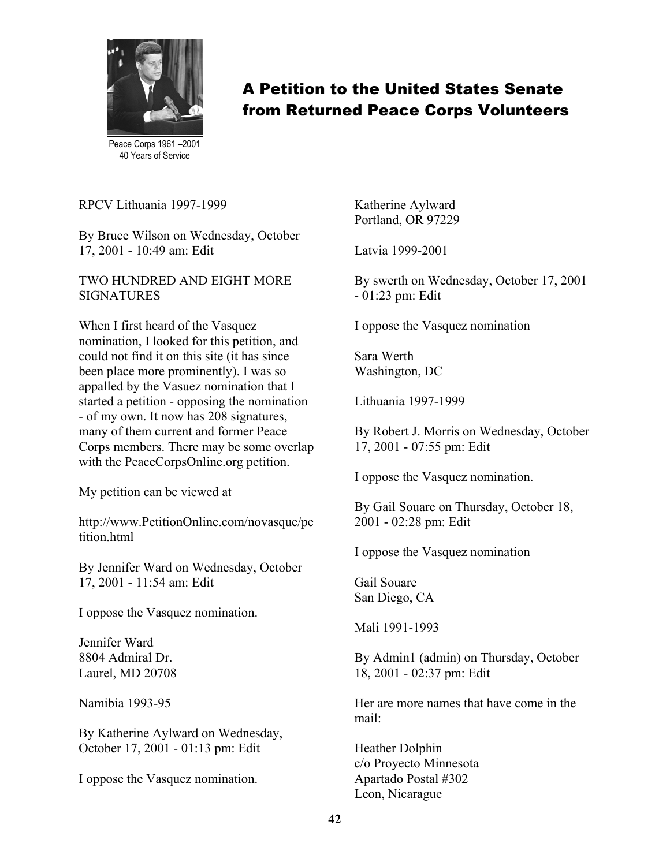

Peace Corps 1961 –2001 40 Years of Service

RPCV Lithuania 1997-1999

By Bruce Wilson on Wednesday, October 17, 2001 - 10:49 am: Edit

TWO HUNDRED AND EIGHT MORE SIGNATURES

When I first heard of the Vasquez nomination, I looked for this petition, and could not find it on this site (it has since been place more prominently). I was so appalled by the Vasuez nomination that I started a petition - opposing the nomination - of my own. It now has 208 signatures, many of them current and former Peace Corps members. There may be some overlap with the PeaceCorpsOnline.org petition.

My petition can be viewed at

http://www.PetitionOnline.com/novasque/pe tition.html

By Jennifer Ward on Wednesday, October 17, 2001 - 11:54 am: Edit

I oppose the Vasquez nomination.

Jennifer Ward 8804 Admiral Dr. Laurel, MD 20708

Namibia 1993-95

By Katherine Aylward on Wednesday, October 17, 2001 - 01:13 pm: Edit

I oppose the Vasquez nomination.

Katherine Aylward Portland, OR 97229

Latvia 1999-2001

By swerth on Wednesday, October 17, 2001 - 01:23 pm: Edit

I oppose the Vasquez nomination

Sara Werth Washington, DC

Lithuania 1997-1999

By Robert J. Morris on Wednesday, October 17, 2001 - 07:55 pm: Edit

I oppose the Vasquez nomination.

By Gail Souare on Thursday, October 18, 2001 - 02:28 pm: Edit

I oppose the Vasquez nomination

Gail Souare San Diego, CA

Mali 1991-1993

By Admin1 (admin) on Thursday, October 18, 2001 - 02:37 pm: Edit

Her are more names that have come in the mail:

Heather Dolphin c/o Proyecto Minnesota Apartado Postal #302 Leon, Nicarague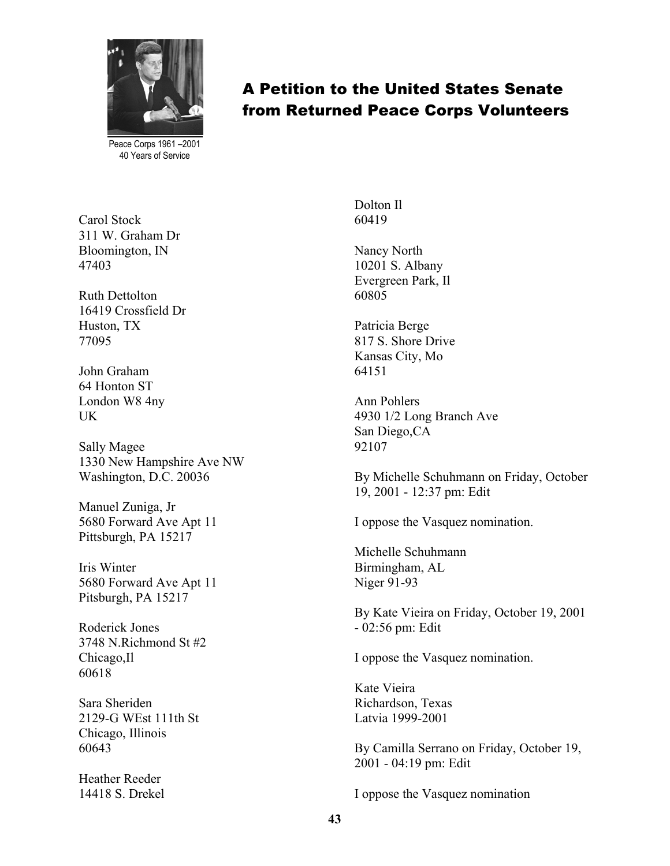

Peace Corps 1961 –2001 40 Years of Service

Carol Stock 311 W. Graham Dr Bloomington, IN 47403

Ruth Dettolton 16419 Crossfield Dr Huston, TX 77095

John Graham 64 Honton ST London W8 4ny UK

Sally Magee 1330 New Hampshire Ave NW Washington, D.C. 20036

Manuel Zuniga, Jr 5680 Forward Ave Apt 11 Pittsburgh, PA 15217

Iris Winter 5680 Forward Ave Apt 11 Pitsburgh, PA 15217

Roderick Jones 3748 N.Richmond St #2 Chicago,Il 60618

Sara Sheriden 2129-G WEst 111th St Chicago, Illinois 60643

Heather Reeder 14418 S. Drekel Dolton Il 60419

Nancy North 10201 S. Albany Evergreen Park, Il 60805

Patricia Berge 817 S. Shore Drive Kansas City, Mo 64151

Ann Pohlers 4930 1/2 Long Branch Ave San Diego,CA 92107

By Michelle Schuhmann on Friday, October 19, 2001 - 12:37 pm: Edit

I oppose the Vasquez nomination.

Michelle Schuhmann Birmingham, AL Niger 91-93

By Kate Vieira on Friday, October 19, 2001 - 02:56 pm: Edit

I oppose the Vasquez nomination.

Kate Vieira Richardson, Texas Latvia 1999-2001

By Camilla Serrano on Friday, October 19, 2001 - 04:19 pm: Edit

I oppose the Vasquez nomination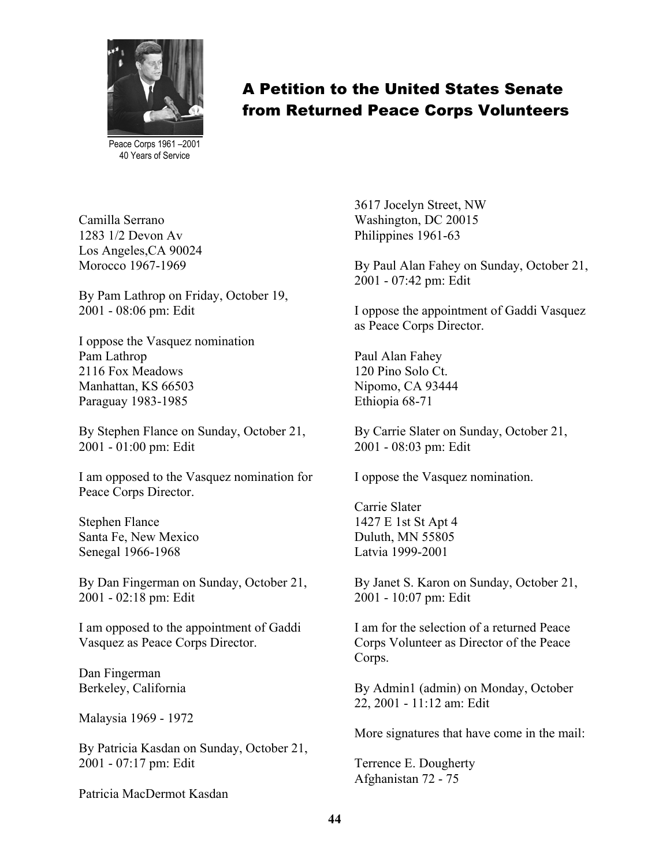

Peace Corps 1961 –2001 40 Years of Service

Camilla Serrano 1283 1/2 Devon Av Los Angeles,CA 90024 Morocco 1967-1969

By Pam Lathrop on Friday, October 19, 2001 - 08:06 pm: Edit

I oppose the Vasquez nomination Pam Lathrop 2116 Fox Meadows Manhattan, KS 66503 Paraguay 1983-1985

By Stephen Flance on Sunday, October 21, 2001 - 01:00 pm: Edit

I am opposed to the Vasquez nomination for Peace Corps Director.

Stephen Flance Santa Fe, New Mexico Senegal 1966-1968

By Dan Fingerman on Sunday, October 21, 2001 - 02:18 pm: Edit

I am opposed to the appointment of Gaddi Vasquez as Peace Corps Director.

Dan Fingerman Berkeley, California

Malaysia 1969 - 1972

By Patricia Kasdan on Sunday, October 21, 2001 - 07:17 pm: Edit

Patricia MacDermot Kasdan

3617 Jocelyn Street, NW Washington, DC 20015 Philippines 1961-63

By Paul Alan Fahey on Sunday, October 21, 2001 - 07:42 pm: Edit

I oppose the appointment of Gaddi Vasquez as Peace Corps Director.

Paul Alan Fahey 120 Pino Solo Ct. Nipomo, CA 93444 Ethiopia 68-71

By Carrie Slater on Sunday, October 21, 2001 - 08:03 pm: Edit

I oppose the Vasquez nomination.

Carrie Slater 1427 E 1st St Apt 4 Duluth, MN 55805 Latvia 1999-2001

By Janet S. Karon on Sunday, October 21, 2001 - 10:07 pm: Edit

I am for the selection of a returned Peace Corps Volunteer as Director of the Peace Corps.

By Admin1 (admin) on Monday, October 22, 2001 - 11:12 am: Edit

More signatures that have come in the mail:

Terrence E. Dougherty Afghanistan 72 - 75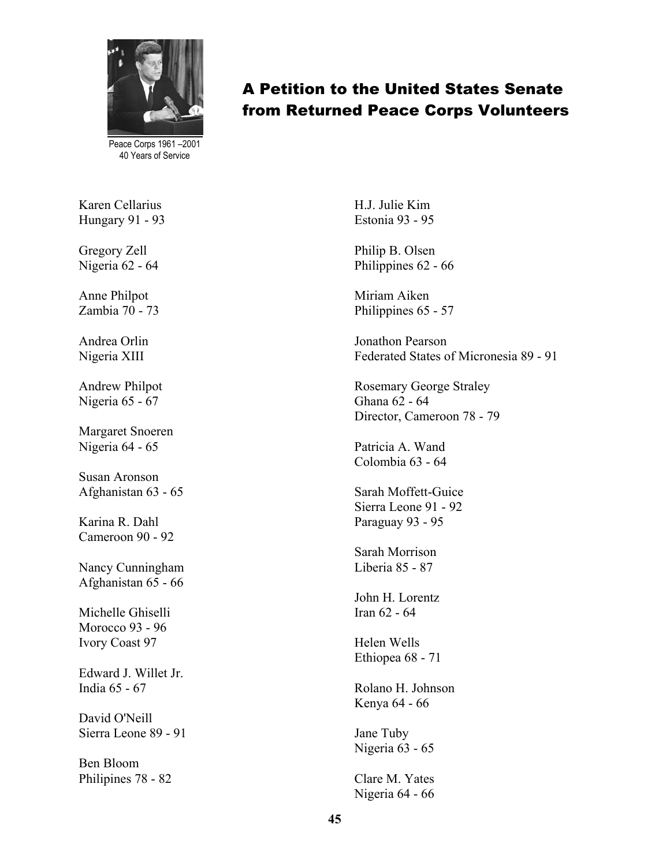

Peace Corps 1961 –2001 40 Years of Service

Karen Cellarius Hungary 91 - 93

Gregory Zell Nigeria 62 - 64

Anne Philpot Zambia 70 - 73

Andrea Orlin Nigeria XIII

Andrew Philpot Nigeria 65 - 67

Margaret Snoeren Nigeria 64 - 65

Susan Aronson Afghanistan 63 - 65

Karina R. Dahl Cameroon 90 - 92

Nancy Cunningham Afghanistan 65 - 66

Michelle Ghiselli Morocco 93 - 96 Ivory Coast 97

Edward J. Willet Jr. India 65 - 67

David O'Neill Sierra Leone 89 - 91

Ben Bloom Philipines 78 - 82 H.J. Julie Kim Estonia 93 - 95

A Petition to the United States Senate

from Returned Peace Corps Volunteers

Philip B. Olsen Philippines 62 - 66

Miriam Aiken Philippines 65 - 57

Jonathon Pearson Federated States of Micronesia 89 - 91

Rosemary George Straley Ghana 62 - 64 Director, Cameroon 78 - 79

Patricia A. Wand Colombia 63 - 64

Sarah Moffett-Guice Sierra Leone 91 - 92 Paraguay 93 - 95

Sarah Morrison Liberia 85 - 87

John H. Lorentz Iran 62 - 64

Helen Wells Ethiopea 68 - 71

Rolano H. Johnson Kenya 64 - 66

Jane Tuby Nigeria 63 - 65

Clare M. Yates Nigeria 64 - 66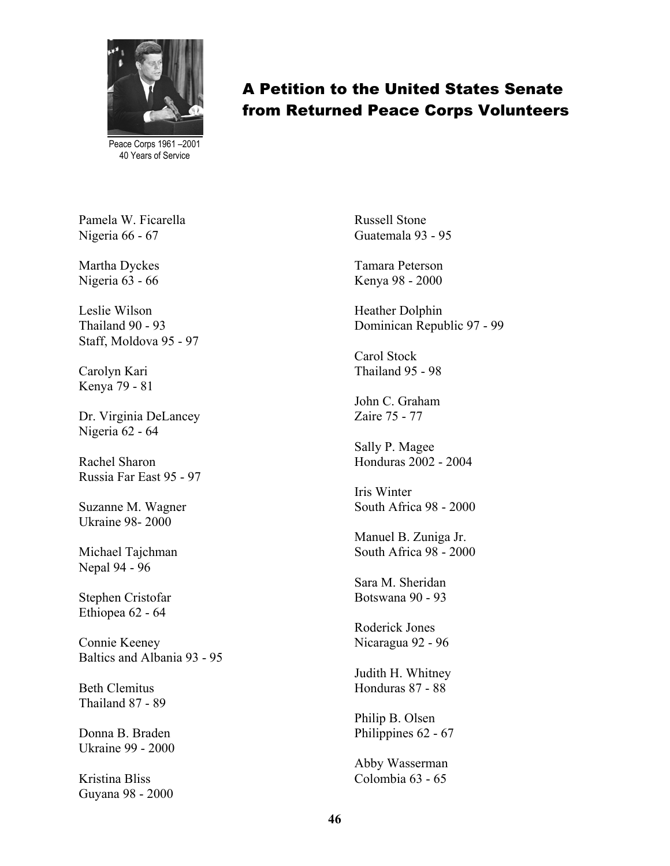

Peace Corps 1961 –2001 40 Years of Service

Pamela W. Ficarella Nigeria 66 - 67

Martha Dyckes Nigeria 63 - 66

Leslie Wilson Thailand 90 - 93 Staff, Moldova 95 - 97

Carolyn Kari Kenya 79 - 81

Dr. Virginia DeLancey Nigeria 62 - 64

Rachel Sharon Russia Far East 95 - 97

Suzanne M. Wagner Ukraine 98- 2000

Michael Tajchman Nepal 94 - 96

Stephen Cristofar Ethiopea 62 - 64

Connie Keeney Baltics and Albania 93 - 95

Beth Clemitus Thailand 87 - 89

Donna B. Braden Ukraine 99 - 2000

Kristina Bliss Guyana 98 - 2000 Russell Stone Guatemala 93 - 95

Tamara Peterson Kenya 98 - 2000

Heather Dolphin Dominican Republic 97 - 99

Carol Stock Thailand 95 - 98

John C. Graham Zaire 75 - 77

Sally P. Magee Honduras 2002 - 2004

Iris Winter South Africa 98 - 2000

Manuel B. Zuniga Jr. South Africa 98 - 2000

Sara M. Sheridan Botswana 90 - 93

Roderick Jones Nicaragua 92 - 96

Judith H. Whitney Honduras 87 - 88

Philip B. Olsen Philippines 62 - 67

Abby Wasserman Colombia 63 - 65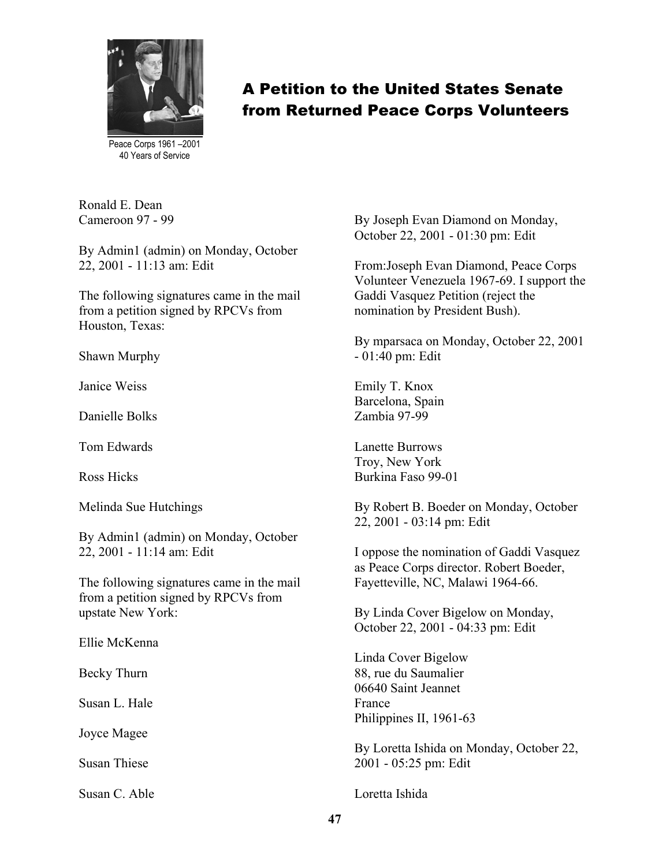

Peace Corps 1961 –2001 40 Years of Service

Ronald E. Dean Cameroon 97 - 99

By Admin1 (admin) on Monday, October 22, 2001 - 11:13 am: Edit

The following signatures came in the mail from a petition signed by RPCVs from Houston, Texas:

Shawn Murphy

Janice Weiss

Danielle Bolks

Tom Edwards

Ross Hicks

Melinda Sue Hutchings

By Admin1 (admin) on Monday, October 22, 2001 - 11:14 am: Edit

The following signatures came in the mail from a petition signed by RPCVs from upstate New York:

Ellie McKenna

Becky Thurn

Susan L. Hale

Joyce Magee

Susan Thiese

Susan C. Able

By Joseph Evan Diamond on Monday, October 22, 2001 - 01:30 pm: Edit

From:Joseph Evan Diamond, Peace Corps Volunteer Venezuela 1967-69. I support the Gaddi Vasquez Petition (reject the nomination by President Bush).

By mparsaca on Monday, October 22, 2001 - 01:40 pm: Edit

Emily T. Knox Barcelona, Spain Zambia 97-99

Lanette Burrows Troy, New York Burkina Faso 99-01

By Robert B. Boeder on Monday, October 22, 2001 - 03:14 pm: Edit

I oppose the nomination of Gaddi Vasquez as Peace Corps director. Robert Boeder, Fayetteville, NC, Malawi 1964-66.

By Linda Cover Bigelow on Monday, October 22, 2001 - 04:33 pm: Edit

Linda Cover Bigelow 88, rue du Saumalier 06640 Saint Jeannet France Philippines II, 1961-63

By Loretta Ishida on Monday, October 22, 2001 - 05:25 pm: Edit

Loretta Ishida